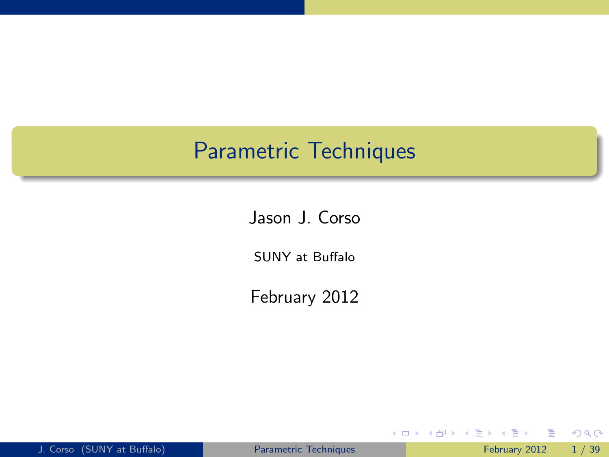### Parametric Techniques

Jason J. Corso

SUNY at Buffalo

February 2012

| J. Corso (SUNY at Buffalo) |  |
|----------------------------|--|
|                            |  |

4 日下

舌

 $\mathcal{A}$ 

<span id="page-0-0"></span> $298$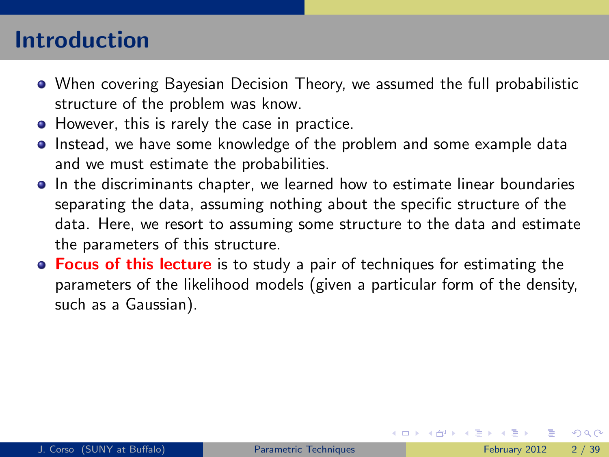# Introduction

- When covering Bayesian Decision Theory, we assumed the full probabilistic structure of the problem was know.
- However, this is rarely the case in practice.
- Instead, we have some knowledge of the problem and some example data and we must estimate the probabilities.
- **In the discriminants chapter, we learned how to estimate linear boundaries** separating the data, assuming nothing about the specific structure of the data. Here, we resort to assuming some structure to the data and estimate the parameters of this structure.
- **Focus of this lecture** is to study a pair of techniques for estimating the parameters of the likelihood models (given a particular form of the density, such as a Gaussian).

<span id="page-1-0"></span> $QQQ$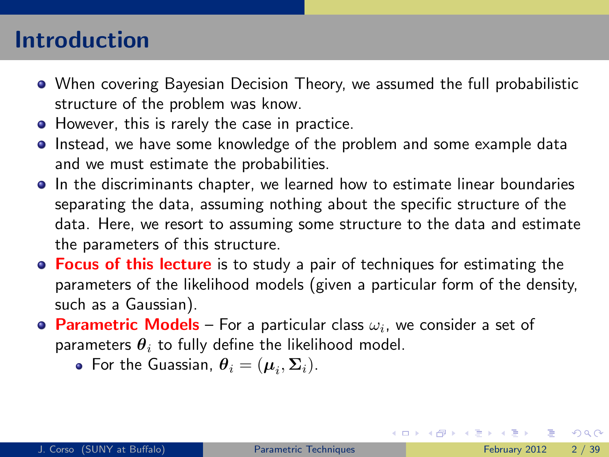## Introduction

- When covering Bayesian Decision Theory, we assumed the full probabilistic structure of the problem was know.
- However, this is rarely the case in practice.
- Instead, we have some knowledge of the problem and some example data and we must estimate the probabilities.
- **In the discriminants chapter, we learned how to estimate linear boundaries** separating the data, assuming nothing about the specific structure of the data. Here, we resort to assuming some structure to the data and estimate the parameters of this structure.
- **Focus of this lecture** is to study a pair of techniques for estimating the parameters of the likelihood models (given a particular form of the density, such as a Gaussian).
- **Parametric Models** For a particular class  $\omega_i$ , we consider a set of parameters  $\theta_i$  to fully define the likelihood model.
	- For the Guassian,  $\boldsymbol{\theta}_i = (\boldsymbol{\mu}_i, \boldsymbol{\Sigma}_i)$ .

<span id="page-2-0"></span> $\equiv$   $\cap$   $\alpha$ 

イロト イ部 トイヨ トイヨト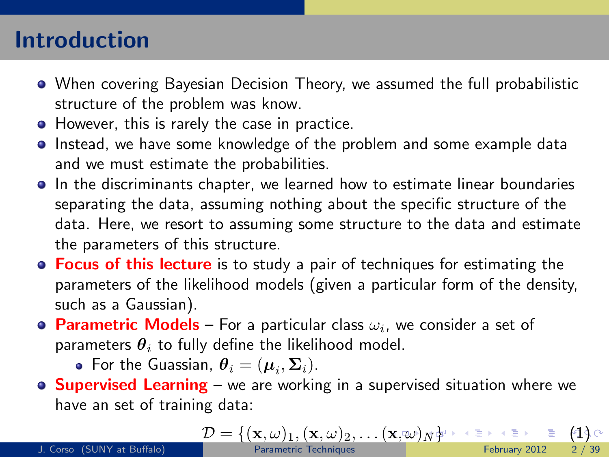## Introduction

- When covering Bayesian Decision Theory, we assumed the full probabilistic structure of the problem was know.
- However, this is rarely the case in practice.
- Instead, we have some knowledge of the problem and some example data and we must estimate the probabilities.
- **In the discriminants chapter, we learned how to estimate linear boundaries** separating the data, assuming nothing about the specific structure of the data. Here, we resort to assuming some structure to the data and estimate the parameters of this structure.
- **Focus of this lecture** is to study a pair of techniques for estimating the parameters of the likelihood models (given a particular form of the density, such as a Gaussian).
- **Parametric Models** For a particular class  $\omega_i$ , we consider a set of parameters  $\theta_i$  to fully define the likelihood model.
	- For the Guassian,  $\boldsymbol{\theta}_i = (\boldsymbol{\mu}_i, \boldsymbol{\Sigma}_i)$ .
- **Supervised Learning** we are working in a supervised situation where we have an set of training data:

<span id="page-3-0"></span>
$$
\mathcal{D} = \{ (\mathbf{x}, \omega)_1, (\mathbf{x}, \omega)_2, \dots (\mathbf{x}, \omega)_N \}^{\text{new}} \longrightarrow \text{LHS} \quad (1)_{\text{C}
$$

J. Corso (SUNY at Buffalo)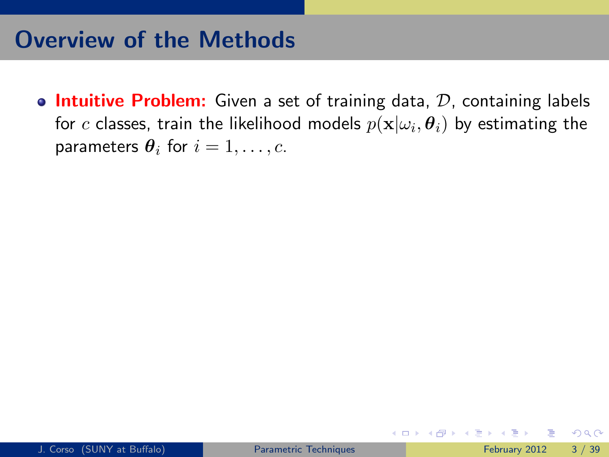## Overview of the Methods

**Intuitive Problem:** Given a set of training data,  $D$ , containing labels for  $c$  classes, train the likelihood models  $p(\textbf{x}|\omega_i, \boldsymbol{\theta}_i)$  by estimating the parameters  $\theta_i$  for  $i = 1, \ldots, c$ .

<span id="page-4-0"></span> $QQ$ 

**K ロ ト K 御 ト K 君 ト**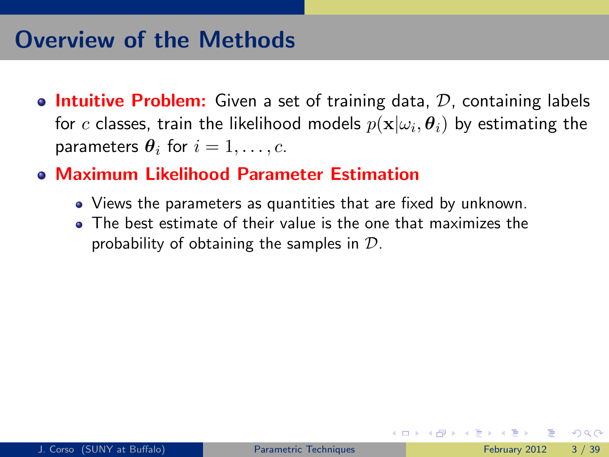# Overview of the Methods

- **Intuitive Problem:** Given a set of training data,  $\mathcal{D}$ , containing labels for  $c$  classes, train the likelihood models  $p(\textbf{x}|\omega_i, \boldsymbol{\theta}_i)$  by estimating the parameters  $\theta_i$  for  $i = 1, \ldots, c$ .
- Maximum Likelihood Parameter Estimation
	- Views the parameters as quantities that are fixed by unknown.
	- The best estimate of their value is the one that maximizes the probability of obtaining the samples in  $\mathcal{D}$ .

 $QQQ$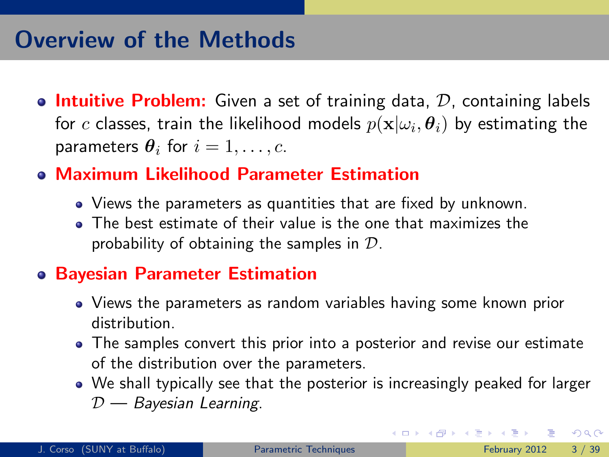# Overview of the Methods

- **Intuitive Problem:** Given a set of training data,  $\mathcal{D}$ , containing labels for  $c$  classes, train the likelihood models  $p(\textbf{x}|\omega_i, \boldsymbol{\theta}_i)$  by estimating the parameters  $\theta_i$  for  $i = 1, \ldots, c$ .
- Maximum Likelihood Parameter Estimation
	- Views the parameters as quantities that are fixed by unknown.
	- The best estimate of their value is the one that maximizes the probability of obtaining the samples in  $\mathcal{D}$ .

#### Bayesian Parameter Estimation

- Views the parameters as random variables having some known prior distribution.
- The samples convert this prior into a posterior and revise our estimate of the distribution over the parameters.
- We shall typically see that the posterior is increasingly peaked for larger  $D$  — Bayesian Learning.

 $QQ$ 

 $\left\{ \begin{array}{ccc} 1 & 0 & 0 \\ 0 & 1 & 0 \end{array} \right.$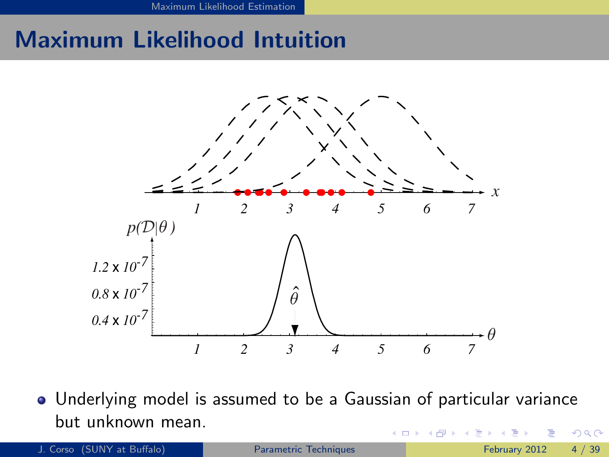[Maximum Likelihood Estimation](#page-7-0)

# Maximum Likelihood Intuition



*-20* Underlying model is assumed to be a Gaussian of particular variance *-40* but unknown mean. *-60* 4 D F  $\Omega$ 

<span id="page-7-0"></span>J. Corso (SUNY at Buffalo) **[Parametric Techniques](#page-0-0)** February 2012 4 / 39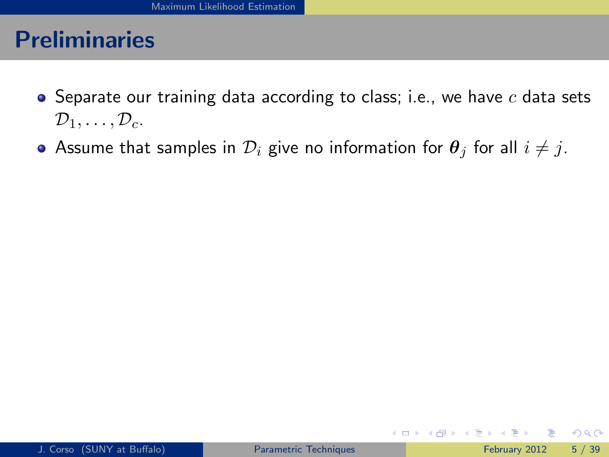- $\bullet$  Separate our training data according to class; i.e., we have  $c$  data sets  $\mathcal{D}_1, \ldots, \mathcal{D}_c$ .
- Assume that samples in  $\mathcal{D}_i$  give no information for  $\theta_i$  for all  $i \neq j$ .

<span id="page-8-0"></span> $\Omega$ 

イロト イ押 トイヨト イヨ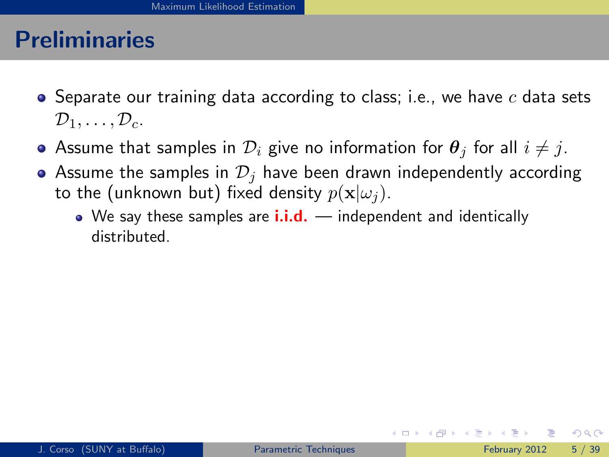- $\bullet$  Separate our training data according to class; i.e., we have c data sets  $\mathcal{D}_1, \ldots, \mathcal{D}_c$ .
- Assume that samples in  $\mathcal{D}_i$  give no information for  $\theta_i$  for all  $i \neq j$ .
- Assume the samples in  $\mathcal{D}_i$  have been drawn independently according to the (unknown but) fixed density  $p(\mathbf{x}|\omega_i)$ .
	- $\bullet$  We say these samples are  $\mathbf{i} \cdot \mathbf{i} \cdot \mathbf{d}$ . independent and identically distributed.

<span id="page-9-0"></span> $QQQ$ 

イロト イ母 トイヨ トイヨト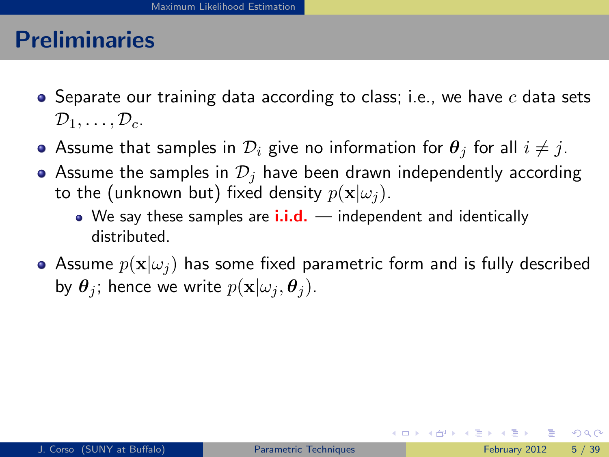- $\bullet$  Separate our training data according to class; i.e., we have c data sets  $\mathcal{D}_1, \ldots, \mathcal{D}_c$ .
- Assume that samples in  $\mathcal{D}_i$  give no information for  $\theta_i$  for all  $i \neq j$ .
- Assume the samples in  $\mathcal{D}_i$  have been drawn independently according to the (unknown but) fixed density  $p(\mathbf{x}|\omega_i)$ .
	- $\bullet$  We say these samples are  $\mathbf{i} \cdot \mathbf{i} \cdot \mathbf{d}$ . independent and identically distributed.
- Assume  $p(\mathbf{x}|\omega_i)$  has some fixed parametric form and is fully described by  $\theta_i$ ; hence we write  $p(\mathbf{x}|\omega_i, \theta_i)$ .

<span id="page-10-0"></span> $QQQ$ 

イロト イ押ト イヨト イヨト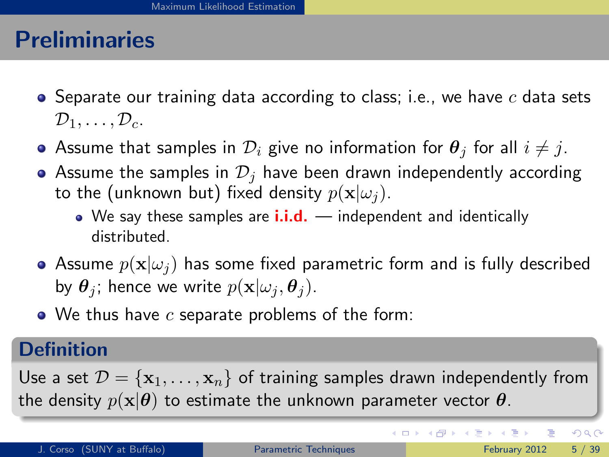- $\bullet$  Separate our training data according to class; i.e., we have c data sets  $\mathcal{D}_1, \ldots, \mathcal{D}_c$ .
- Assume that samples in  $\mathcal{D}_i$  give no information for  $\theta_i$  for all  $i \neq j$ .
- Assume the samples in  $\mathcal{D}_i$  have been drawn independently according to the (unknown but) fixed density  $p(\mathbf{x}|\omega_i)$ .
	- $\bullet$  We say these samples are  $\mathbf{i} \cdot \mathbf{i} \cdot \mathbf{d}$ . independent and identically distributed.
- Assume  $p(\mathbf{x}|\omega_i)$  has some fixed parametric form and is fully described by  $\theta_i$ ; hence we write  $p(\mathbf{x}|\omega_i, \theta_i)$ .
- $\bullet$  We thus have c separate problems of the form:

#### **Definition**

Use a set  $\mathcal{D} = {\mathbf{x}_1, \dots, \mathbf{x}_n}$  of training samples drawn independently from the density  $p(\mathbf{x}|\boldsymbol{\theta})$  to estimate the unknown parameter vector  $\boldsymbol{\theta}$ .

<span id="page-11-0"></span> $QQQ$ 

イロト イ部 トメ ヨ トメ ヨト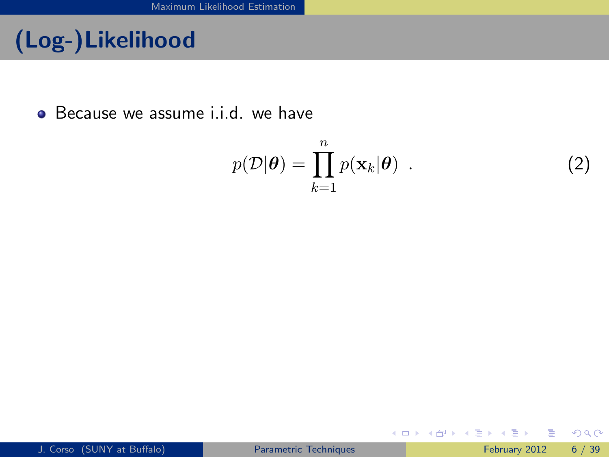# (Log-)Likelihood

• Because we assume *i.i.d.* we have

$$
p(\mathcal{D}|\boldsymbol{\theta}) = \prod_{k=1}^{n} p(\mathbf{x}_k|\boldsymbol{\theta})
$$
 (2)

<span id="page-12-0"></span> $OQ$ 

イロト イ部 トメ ヨ トメ ヨト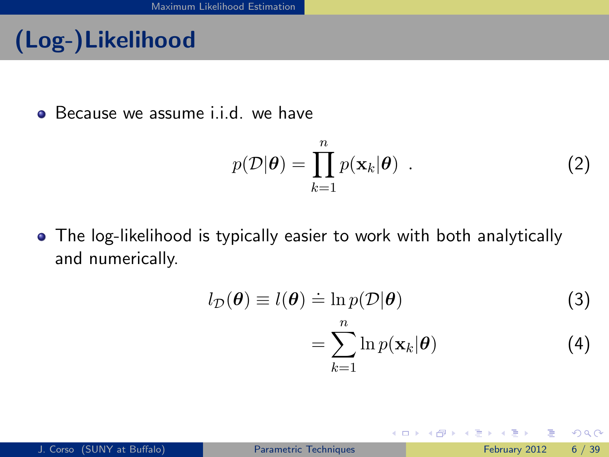# (Log-)Likelihood

• Because we assume i.i.d. we have

$$
p(\mathcal{D}|\boldsymbol{\theta}) = \prod_{k=1}^{n} p(\mathbf{x}_k|\boldsymbol{\theta})
$$
 (2)

• The log-likelihood is typically easier to work with both analytically and numerically.

$$
l_{\mathcal{D}}(\boldsymbol{\theta}) \equiv l(\boldsymbol{\theta}) \doteq \ln p(\mathcal{D}|\boldsymbol{\theta})
$$
\n(3)

4 0 8

$$
=\sum_{k=1}^{n}\ln p(\mathbf{x}_{k}|\boldsymbol{\theta})
$$
\n(4)

**K 何 ▶ 【 ヨ ▶ 【** 

<span id="page-13-0"></span> $QQQ$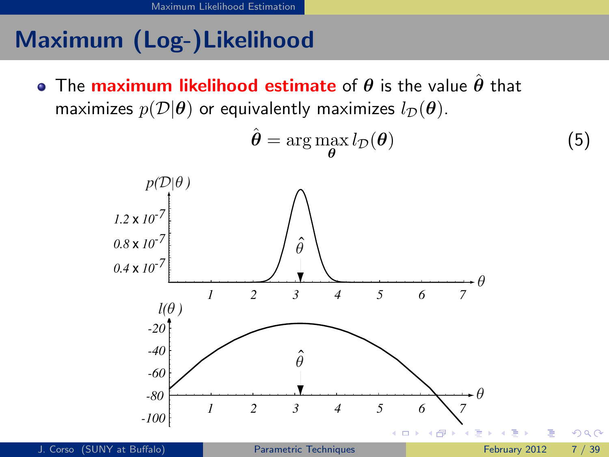# Maximum (Log-)Likelihood

**•** The maximum likelihood estimate of  $\theta$  is the value  $\hat{\theta}$  that maximizes  $p(\mathcal{D}|\boldsymbol{\theta})$  or equivalently maximizes  $l_{\mathcal{D}}(\boldsymbol{\theta})$ .

<span id="page-14-0"></span>
$$
\hat{\boldsymbol{\theta}} = \arg \max_{\boldsymbol{\theta}} l_{\mathcal{D}}(\boldsymbol{\theta})
$$
\n(5)

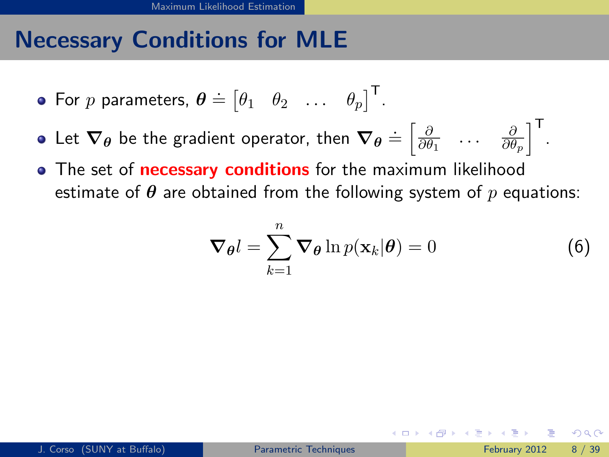## Necessary Conditions for MLE

- For  $p$  parameters,  $\boldsymbol{\theta} \doteq \begin{bmatrix} \theta_1 & \theta_2 & \dots & \theta_p \end{bmatrix}^\mathsf{T}$ .
- Let  $\bm{\nabla}_{\bm{\theta}}$  be the gradient operator, then  $\bm{\nabla}_{\bm{\theta}} \doteq \begin{bmatrix} \frac{\partial}{\partial \theta} \end{bmatrix}$  $\frac{\partial}{\partial \theta_1}$  ...  $\frac{\partial}{\partial \theta}$  $\left. \frac{\partial}{\partial \theta_p} \right\rceil \Big\}^{\mathsf{T}}.$
- The set of **necessary conditions** for the maximum likelihood estimate of  $\theta$  are obtained from the following system of p equations:

<span id="page-15-1"></span><span id="page-15-0"></span>
$$
\nabla_{\theta} l = \sum_{k=1}^{n} \nabla_{\theta} \ln p(\mathbf{x}_k | \theta) = 0
$$
 (6)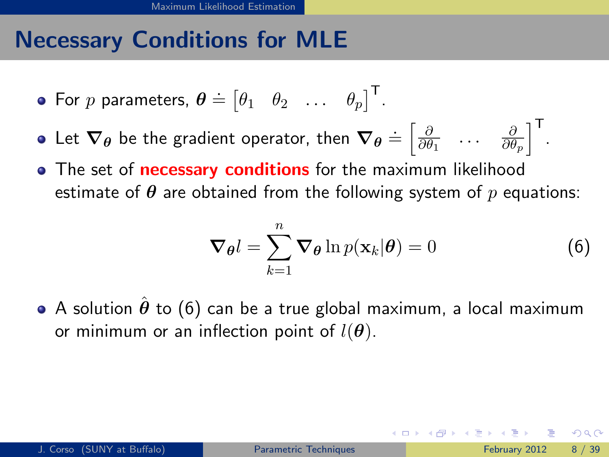# Necessary Conditions for MLE

- For  $p$  parameters,  $\boldsymbol{\theta} \doteq \begin{bmatrix} \theta_1 & \theta_2 & \dots & \theta_p \end{bmatrix}^\mathsf{T}$ .
- Let  $\bm{\nabla}_{\bm{\theta}}$  be the gradient operator, then  $\bm{\nabla}_{\bm{\theta}} \doteq \begin{bmatrix} \frac{\partial}{\partial \theta} \end{bmatrix}$  $\frac{\partial}{\partial \theta_1}$  ...  $\frac{\partial}{\partial \theta}$  $\left. \frac{\partial}{\partial \theta_p} \right\rceil \Big\}^{\mathsf{T}}.$
- The set of **necessary conditions** for the maximum likelihood estimate of  $\theta$  are obtained from the following system of  $p$  equations:

$$
\nabla_{\theta} l = \sum_{k=1}^{n} \nabla_{\theta} \ln p(\mathbf{x}_k | \theta) = 0
$$
 (6)

A solution  $\hat{\theta}$  to [\(6\)](#page-15-1) can be a true global maximum, a local maximum or minimum or an inflection point of  $l(\boldsymbol{\theta})$ .

<span id="page-16-0"></span> $\Omega$ 

イロト イ押ト イヨト イヨト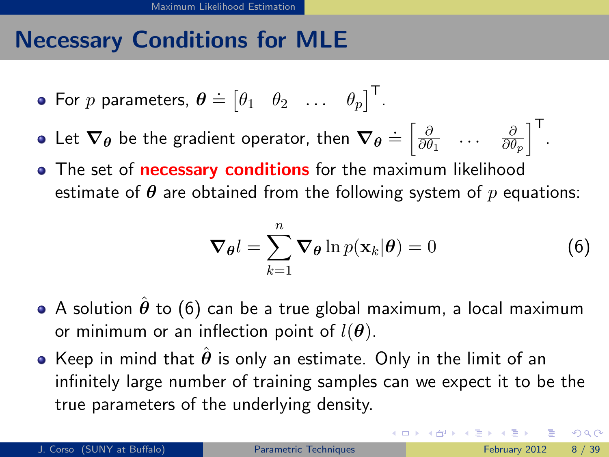# Necessary Conditions for MLE

- For  $p$  parameters,  $\boldsymbol{\theta} \doteq \begin{bmatrix} \theta_1 & \theta_2 & \dots & \theta_p \end{bmatrix}^\mathsf{T}$ .
- Let  $\bm{\nabla}_{\bm{\theta}}$  be the gradient operator, then  $\bm{\nabla}_{\bm{\theta}} \doteq \begin{bmatrix} \frac{\partial}{\partial \theta} \end{bmatrix}$  $\frac{\partial}{\partial \theta_1}$  ...  $\frac{\partial}{\partial \theta}$  $\left. \frac{\partial}{\partial \theta_p} \right\rceil \Big\}^{\mathsf{T}}.$
- The set of **necessary conditions** for the maximum likelihood estimate of  $\theta$  are obtained from the following system of p equations:

$$
\nabla_{\theta} l = \sum_{k=1}^{n} \nabla_{\theta} \ln p(\mathbf{x}_k | \theta) = 0
$$
 (6)

- A solution  $\hat{\theta}$  to [\(6\)](#page-15-1) can be a true global maximum, a local maximum or minimum or an inflection point of  $l(\boldsymbol{\theta})$ .
- Keep in mind that  $\hat{\theta}$  is only an estimate. Only in the limit of an infinitely large number of training samples can we expect it to be the true parameters of the underlying density.

<span id="page-17-0"></span> $QQQ$ 

KONKAPIK KENYEN E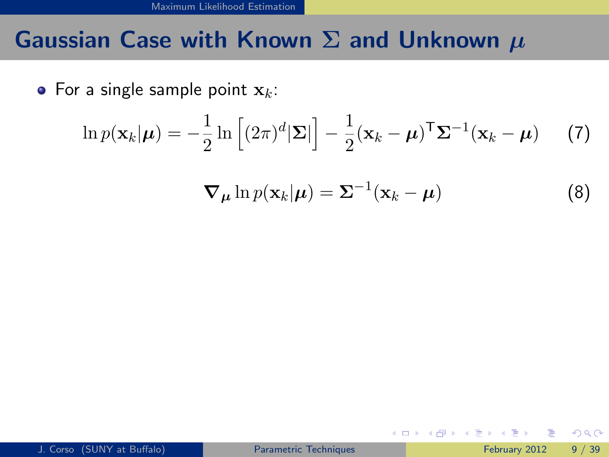#### Gaussian Case with Known  $\Sigma$  and Unknown  $\mu$

• For a single sample point  $x_k$ :

$$
\ln p(\mathbf{x}_k|\boldsymbol{\mu}) = -\frac{1}{2} \ln \left[ (2\pi)^d |\boldsymbol{\Sigma}| \right] - \frac{1}{2} (\mathbf{x}_k - \boldsymbol{\mu})^{\mathsf{T}} \boldsymbol{\Sigma}^{-1} (\mathbf{x}_k - \boldsymbol{\mu}) \qquad (7)
$$

$$
\nabla_{\mu} \ln p(\mathbf{x}_k | \boldsymbol{\mu}) = \boldsymbol{\Sigma}^{-1}(\mathbf{x}_k - \boldsymbol{\mu})
$$
 (8)

**K ロ ▶ | K 伺 ▶ | K ヨ ▶** 

<span id="page-18-0"></span> $-4$ ≔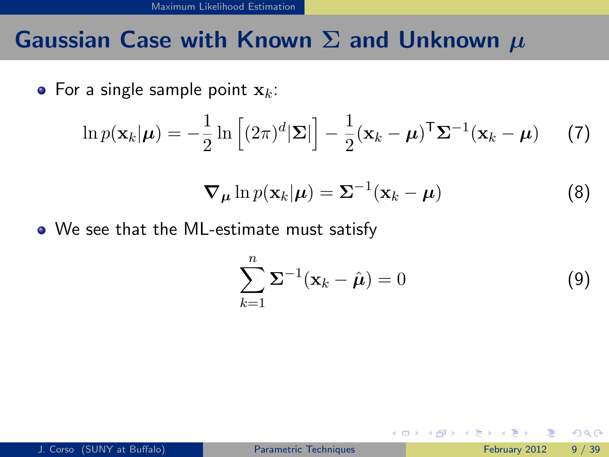#### Gaussian Case with Known  $\Sigma$  and Unknown  $\mu$

• For a single sample point  $x_k$ :

$$
\ln p(\mathbf{x}_k|\boldsymbol{\mu}) = -\frac{1}{2} \ln \left[ (2\pi)^d |\boldsymbol{\Sigma}| \right] - \frac{1}{2} (\mathbf{x}_k - \boldsymbol{\mu})^{\mathsf{T}} \boldsymbol{\Sigma}^{-1} (\mathbf{x}_k - \boldsymbol{\mu}) \qquad (7)
$$

$$
\nabla_{\mu} \ln p(\mathbf{x}_k | \boldsymbol{\mu}) = \boldsymbol{\Sigma}^{-1}(\mathbf{x}_k - \boldsymbol{\mu}) \tag{8}
$$

We see that the ML-estimate must satisfy

$$
\sum_{k=1}^{n} \Sigma^{-1} (\mathbf{x}_k - \hat{\boldsymbol{\mu}}) = 0
$$
 (9)

イロト イ押 トイヨト イヨ

<span id="page-19-0"></span> $QQ$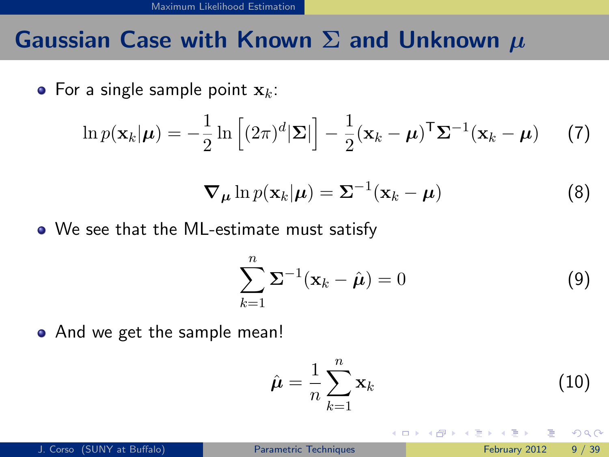### Gaussian Case with Known  $\Sigma$  and Unknown  $\mu$

• For a single sample point  $x_k$ :

$$
\ln p(\mathbf{x}_k|\boldsymbol{\mu}) = -\frac{1}{2} \ln \left[ (2\pi)^d |\boldsymbol{\Sigma}| \right] - \frac{1}{2} (\mathbf{x}_k - \boldsymbol{\mu})^{\mathsf{T}} \boldsymbol{\Sigma}^{-1} (\mathbf{x}_k - \boldsymbol{\mu}) \qquad (7)
$$

$$
\nabla_{\mu} \ln p(\mathbf{x}_k | \boldsymbol{\mu}) = \boldsymbol{\Sigma}^{-1}(\mathbf{x}_k - \boldsymbol{\mu}) \tag{8}
$$

We see that the ML-estimate must satisfy

$$
\sum_{k=1}^{n} \Sigma^{-1} (\mathbf{x}_k - \hat{\boldsymbol{\mu}}) = 0
$$
 (9)

• And we get the sample mean!

$$
\hat{\boldsymbol{\mu}} = \frac{1}{n} \sum_{k=1}^{n} \mathbf{x}_k \tag{10}
$$

<span id="page-20-0"></span>4 0 8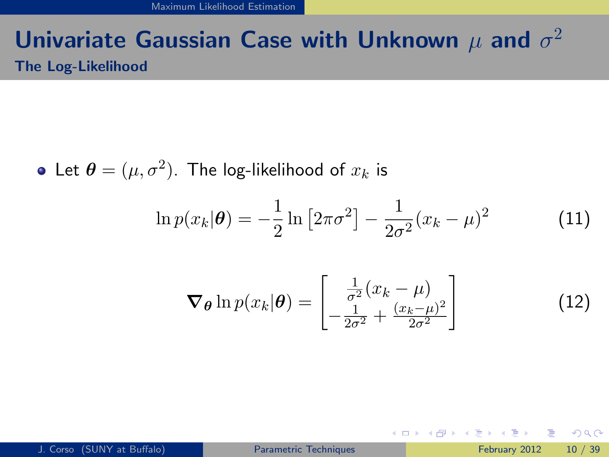### Univariate Gaussian Case with Unknown  $\mu$  and  $\sigma^2$ The Log-Likelihood

Let  $\boldsymbol{\theta} = (\mu, \sigma^2).$  The log-likelihood of  $x_k$  is

$$
\ln p(x_k|\theta) = -\frac{1}{2}\ln [2\pi\sigma^2] - \frac{1}{2\sigma^2}(x_k - \mu)^2
$$
 (11)

$$
\nabla_{\theta} \ln p(x_k|\theta) = \begin{bmatrix} \frac{1}{\sigma^2}(x_k - \mu) \\ -\frac{1}{2\sigma^2} + \frac{(x_k - \mu)^2}{2\sigma^2} \end{bmatrix}
$$
(12)

<span id="page-21-0"></span> $QQ$ 

イロト イ押 トイヨト イヨ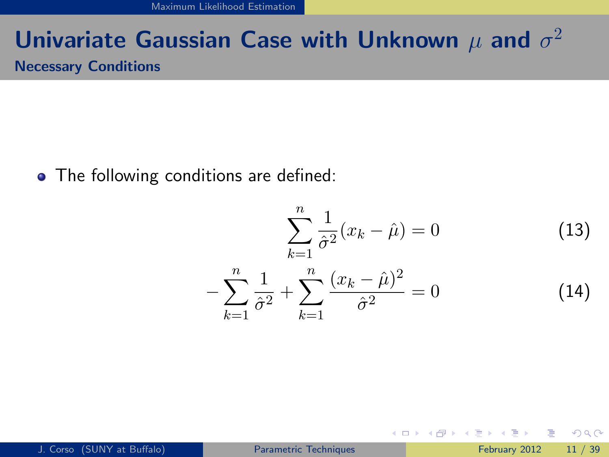[Maximum Likelihood Estimation](#page-22-0)

### Univariate Gaussian Case with Unknown  $\mu$  and  $\sigma^2$ Necessary Conditions

• The following conditions are defined:

$$
\sum_{k=1}^{n} \frac{1}{\hat{\sigma}^2} (x_k - \hat{\mu}) = 0
$$
 (13)  

$$
-\sum_{k=1}^{n} \frac{1}{\hat{\sigma}^2} + \sum_{k=1}^{n} \frac{(x_k - \hat{\mu})^2}{\hat{\sigma}^2} = 0
$$
 (14)

<span id="page-22-0"></span> $=$   $\Omega$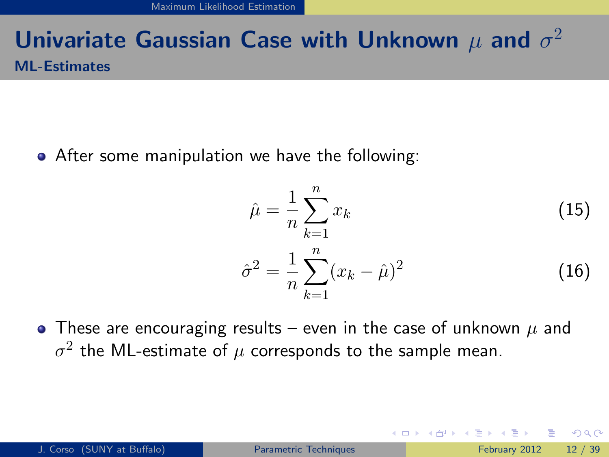### Univariate Gaussian Case with Unknown  $\mu$  and  $\sigma^2$ ML-Estimates

After some manipulation we have the following:

$$
\hat{\mu} = \frac{1}{n} \sum_{k=1}^{n} x_k
$$
\n
$$
\hat{\sigma}^2 = \frac{1}{n} \sum_{k=1}^{n} (x_k - \hat{\mu})^2
$$
\n(15)

<span id="page-23-0"></span>4 D F

• These are encouraging results – even in the case of unknown  $\mu$  and  $\sigma^2$  the ML-estimate of  $\mu$  corresponds to the sample mean.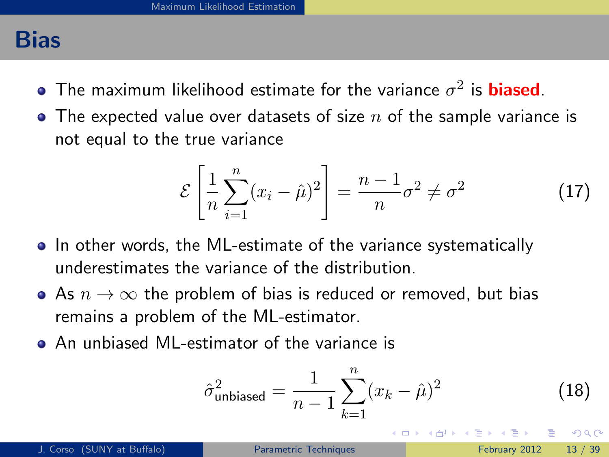#### Bias

- The maximum likelihood estimate for the variance  $\sigma^2$  is  $\boldsymbol{\mathrm{biased}}$ .
- The expected value over datasets of size  $n$  of the sample variance is not equal to the true variance

$$
\mathcal{E}\left[\frac{1}{n}\sum_{i=1}^{n}(x_i-\hat{\mu})^2\right]=\frac{n-1}{n}\sigma^2\neq\sigma^2\tag{17}
$$

- In other words, the ML-estimate of the variance systematically underestimates the variance of the distribution.
- As  $n \to \infty$  the problem of bias is reduced or removed, but bias remains a problem of the ML-estimator.
- An unbiased ML-estimator of the variance is

<span id="page-24-0"></span>
$$
\hat{\sigma}_{\text{unbiased}}^2 = \frac{1}{n-1} \sum_{k=1}^n (x_k - \hat{\mu})^2
$$
 (18)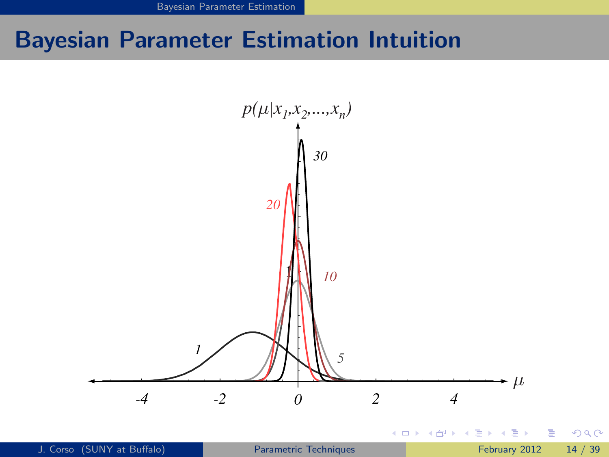<span id="page-25-0"></span>[Bayesian Parameter Estimation](#page-25-0)

# Bayesian Parameter Estimation Intuition

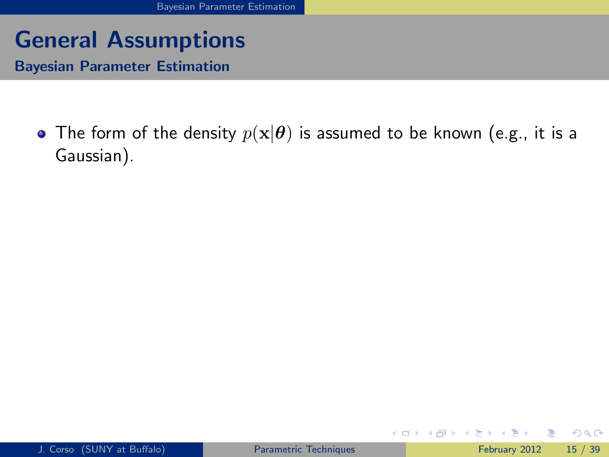Bayesian Parameter Estimation

• The form of the density  $p(x|\theta)$  is assumed to be known (e.g., it is a Gaussian).

4 日下

→ 何 ▶ → ヨ ▶ → ヨ

<span id="page-26-0"></span>目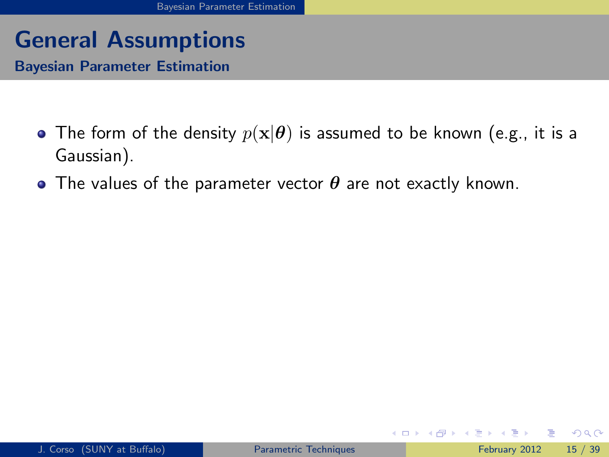Bayesian Parameter Estimation

- The form of the density  $p(x|\theta)$  is assumed to be known (e.g., it is a Gaussian).
- The values of the parameter vector  $\theta$  are not exactly known.

4 0 8

<span id="page-27-0"></span> $QQ$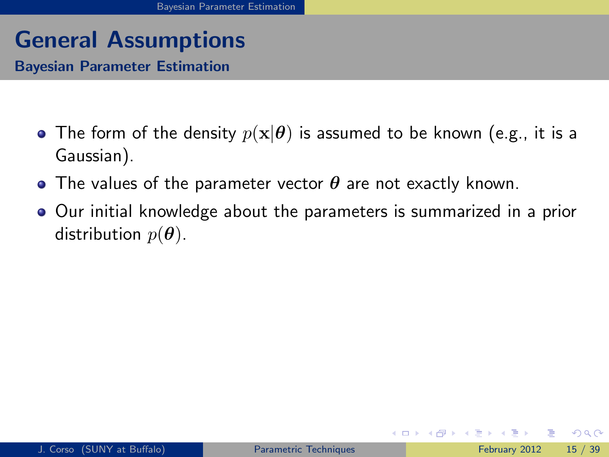Bayesian Parameter Estimation

- The form of the density  $p(x|\theta)$  is assumed to be known (e.g., it is a Gaussian).
- The values of the parameter vector  $\theta$  are not exactly known.
- Our initial knowledge about the parameters is summarized in a prior distribution  $p(\theta)$ .

<span id="page-28-0"></span> $QQ$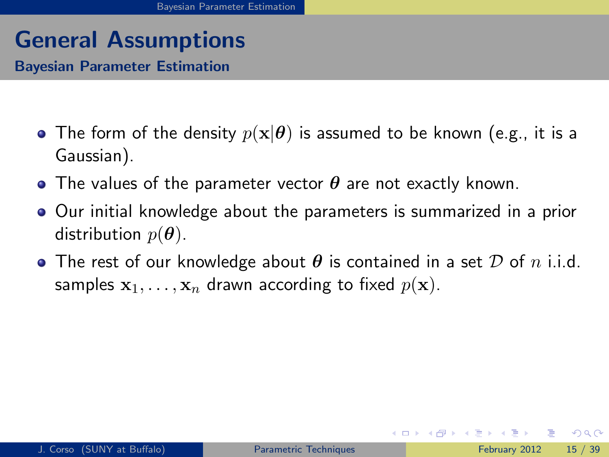Bayesian Parameter Estimation

- The form of the density  $p(x|\theta)$  is assumed to be known (e.g., it is a Gaussian).
- The values of the parameter vector  $\theta$  are not exactly known.
- Our initial knowledge about the parameters is summarized in a prior distribution  $p(\theta)$ .
- <span id="page-29-0"></span>**•** The rest of our knowledge about  $\theta$  is contained in a set  $\mathcal D$  of  $n$  i.i.d. samples  $x_1, \ldots, x_n$  drawn according to fixed  $p(x)$ .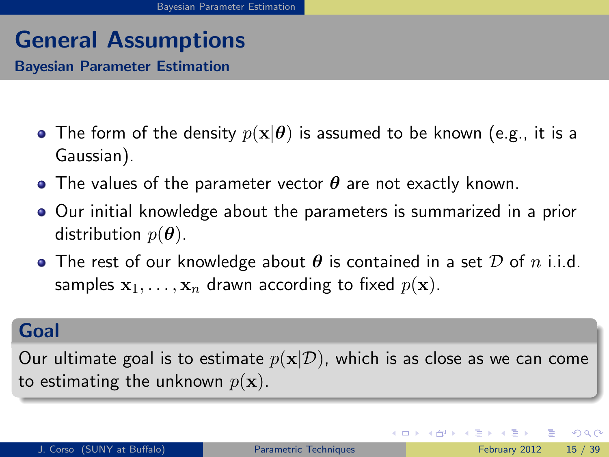Bayesian Parameter Estimation

- The form of the density  $p(x|\theta)$  is assumed to be known (e.g., it is a Gaussian).
- The values of the parameter vector  $\theta$  are not exactly known.
- Our initial knowledge about the parameters is summarized in a prior distribution  $p(\theta)$ .
- **•** The rest of our knowledge about  $\theta$  is contained in a set  $\mathcal D$  of  $n$  i.i.d. samples  $x_1, \ldots, x_n$  drawn according to fixed  $p(x)$ .

#### Goal

Our ultimate goal is to estimate  $p(x|\mathcal{D})$ , which is as close as we can come to estimating the unknown  $p(\mathbf{x})$ .

<span id="page-30-0"></span> $\Omega$ 

**K ロ ト K 何 ト K ヨ ト K ヨ**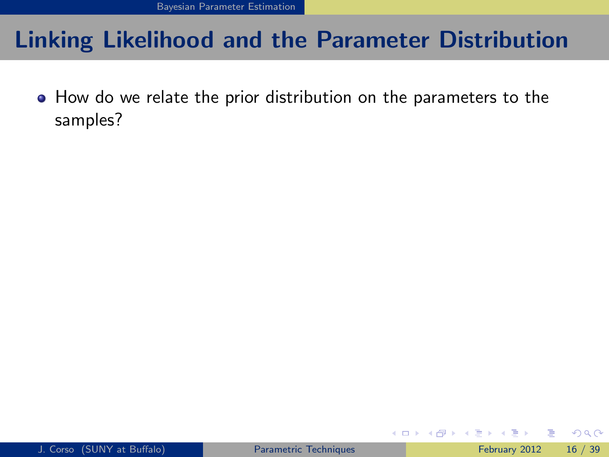How do we relate the prior distribution on the parameters to the samples?

<span id="page-31-0"></span> $\Omega$ 

イロト イ押 トイヨト イヨ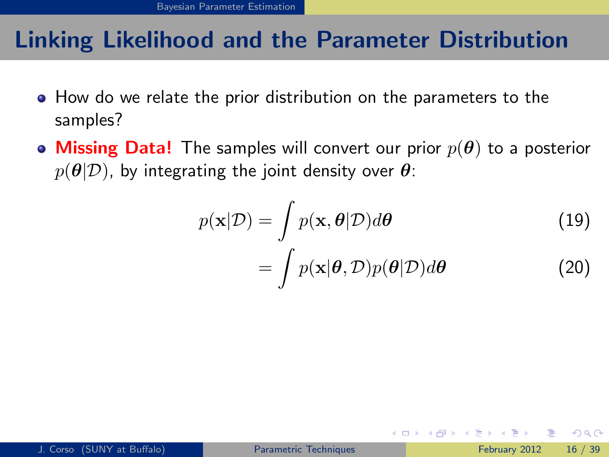- How do we relate the prior distribution on the parameters to the samples?
- Missing Data! The samples will convert our prior  $p(\theta)$  to a posterior  $p(\theta|\mathcal{D})$ , by integrating the joint density over  $\theta$ :

<span id="page-32-0"></span>
$$
p(\mathbf{x}|\mathcal{D}) = \int p(\mathbf{x}, \theta|\mathcal{D}) d\theta
$$
 (19)  
= 
$$
\int p(\mathbf{x}|\theta, \mathcal{D}) p(\theta|\mathcal{D}) d\theta
$$
 (20)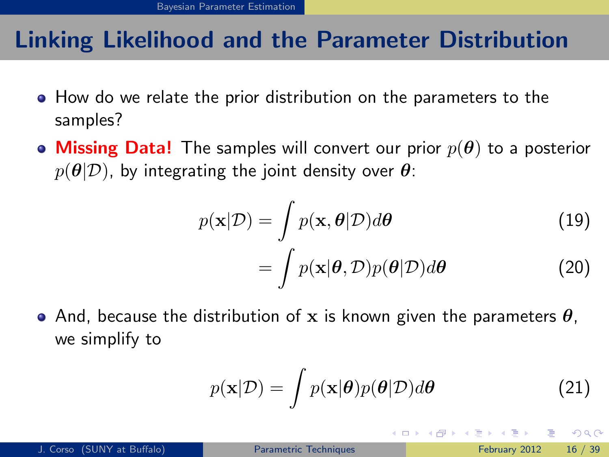- How do we relate the prior distribution on the parameters to the samples?
- Missing Data! The samples will convert our prior  $p(\theta)$  to a posterior  $p(\theta|\mathcal{D})$ , by integrating the joint density over  $\theta$ :

$$
p(\mathbf{x}|\mathcal{D}) = \int p(\mathbf{x}, \boldsymbol{\theta}|\mathcal{D}) d\boldsymbol{\theta}
$$
 (19)

$$
= \int p(\mathbf{x}|\boldsymbol{\theta}, \mathcal{D}) p(\boldsymbol{\theta}|\mathcal{D}) d\boldsymbol{\theta}
$$
 (20)

• And, because the distribution of x is known given the parameters  $\theta$ , we simplify to

<span id="page-33-0"></span>
$$
p(\mathbf{x}|\mathcal{D}) = \int p(\mathbf{x}|\boldsymbol{\theta})p(\boldsymbol{\theta}|\mathcal{D})d\boldsymbol{\theta}
$$
 (21)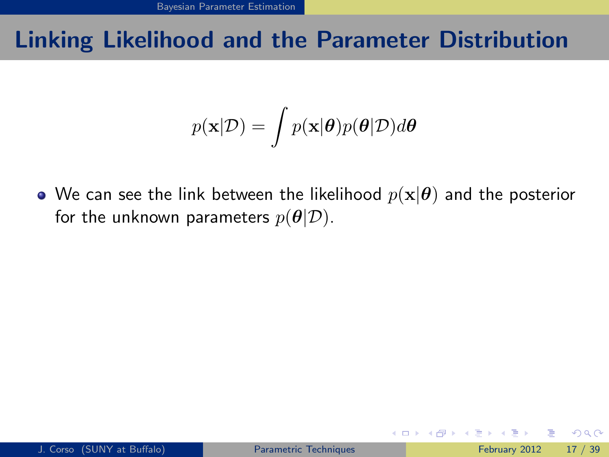$$
p(\mathbf{x}|\mathcal{D}) = \int p(\mathbf{x}|\boldsymbol{\theta})p(\boldsymbol{\theta}|\mathcal{D})d\boldsymbol{\theta}
$$

• We can see the link between the likelihood  $p(\mathbf{x}|\boldsymbol{\theta})$  and the posterior for the unknown parameters  $p(\theta|\mathcal{D})$ .

4 0 8

<span id="page-34-0"></span>→ 何 ▶ → ヨ ▶ → ヨ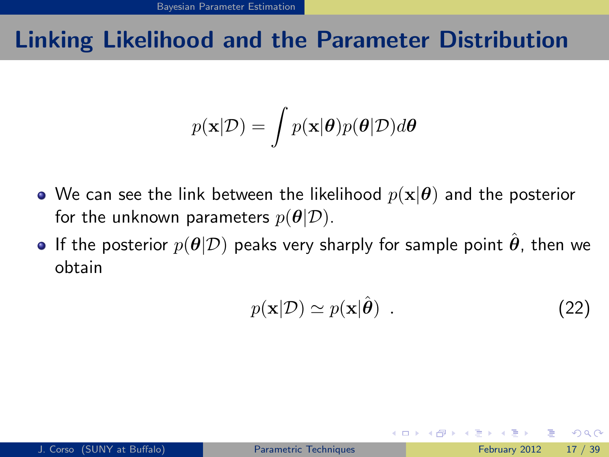$$
p(\mathbf{x}|\mathcal{D}) = \int p(\mathbf{x}|\boldsymbol{\theta})p(\boldsymbol{\theta}|\mathcal{D})d\boldsymbol{\theta}
$$

- We can see the link between the likelihood  $p(\mathbf{x}|\boldsymbol{\theta})$  and the posterior for the unknown parameters  $p(\theta|\mathcal{D})$ .
- **If the posterior**  $p(\theta|\mathcal{D})$  peaks very sharply for sample point  $\hat{\theta}$ , then we obtain

<span id="page-35-0"></span>
$$
p(\mathbf{x}|\mathcal{D}) \simeq p(\mathbf{x}|\hat{\boldsymbol{\theta}}) \tag{22}
$$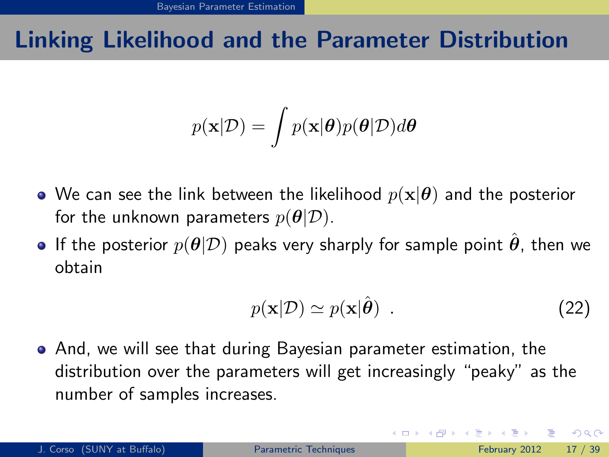# Linking Likelihood and the Parameter Distribution

$$
p(\mathbf{x}|\mathcal{D}) = \int p(\mathbf{x}|\boldsymbol{\theta})p(\boldsymbol{\theta}|\mathcal{D})d\boldsymbol{\theta}
$$

- We can see the link between the likelihood  $p(\mathbf{x}|\boldsymbol{\theta})$  and the posterior for the unknown parameters  $p(\theta|\mathcal{D})$ .
- **If the posterior**  $p(\theta|\mathcal{D})$  peaks very sharply for sample point  $\theta$ , then we obtain

$$
p(\mathbf{x}|\mathcal{D}) \simeq p(\mathbf{x}|\hat{\boldsymbol{\theta}}) \tag{22}
$$

And, we will see that during Bayesian parameter estimation, the distribution over the parameters will get increasingly "peaky" as the number of samples increases.

<span id="page-36-0"></span> $QQQ$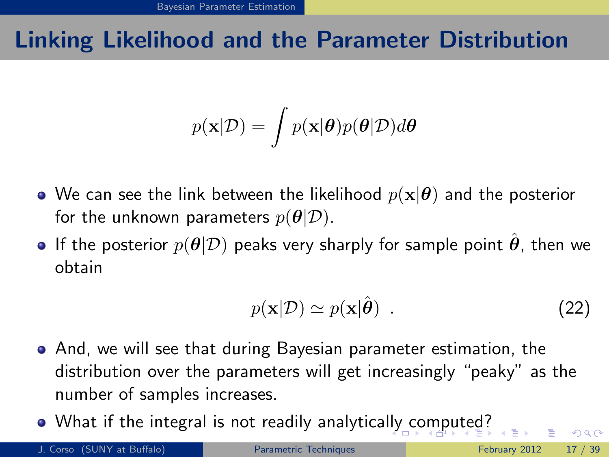# Linking Likelihood and the Parameter Distribution

$$
p(\mathbf{x}|\mathcal{D}) = \int p(\mathbf{x}|\boldsymbol{\theta})p(\boldsymbol{\theta}|\mathcal{D})d\boldsymbol{\theta}
$$

- We can see the link between the likelihood  $p(\mathbf{x}|\boldsymbol{\theta})$  and the posterior for the unknown parameters  $p(\theta|\mathcal{D})$ .
- If the posterior  $p(\theta|\mathcal{D})$  peaks very sharply for sample point  $\theta$ , then we obtain

$$
p(\mathbf{x}|\mathcal{D}) \simeq p(\mathbf{x}|\hat{\boldsymbol{\theta}}) \tag{22}
$$

- And, we will see that during Bayesian parameter estimation, the distribution over the parameters will get increasingly "peaky" as the number of samples increases.
- What if the integral is not readily analytica[lly](#page-36-0) [co](#page-38-0)[m](#page-33-0)[p](#page-37-0)[u](#page-38-0)[te](#page-24-0)[d](#page-63-0)[?](#page-64-0)

<span id="page-37-0"></span> $200$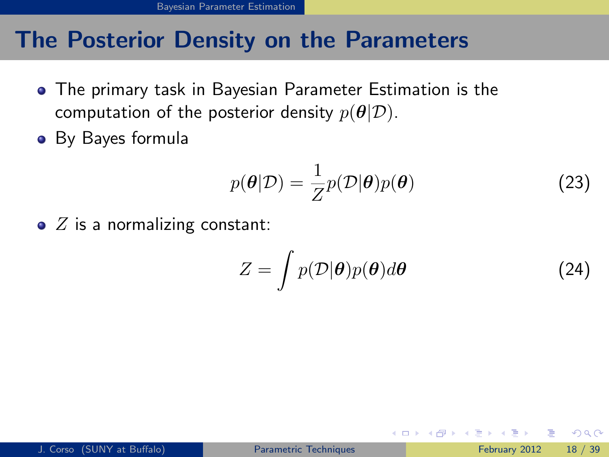### The Posterior Density on the Parameters

- The primary task in Bayesian Parameter Estimation is the computation of the posterior density  $p(\theta|\mathcal{D})$ .
- By Bayes formula

$$
p(\theta|\mathcal{D}) = \frac{1}{Z}p(\mathcal{D}|\theta)p(\theta)
$$
 (23)

 $\bullet$  Z is a normalizing constant:

$$
Z = \int p(\mathcal{D}|\boldsymbol{\theta})p(\boldsymbol{\theta})d\boldsymbol{\theta}
$$
 (24)

<span id="page-38-0"></span> $QQQ$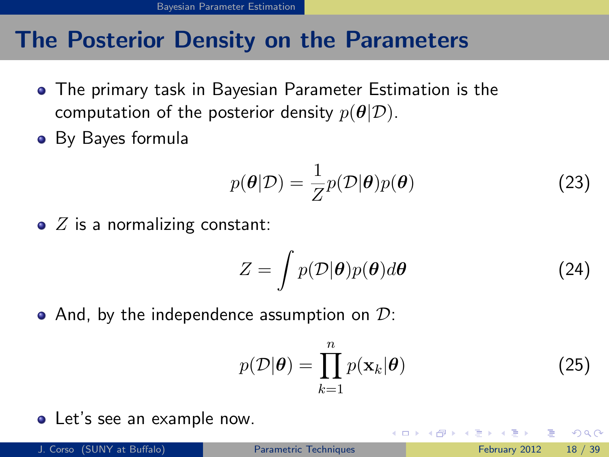### The Posterior Density on the Parameters

- The primary task in Bayesian Parameter Estimation is the computation of the posterior density  $p(\theta|\mathcal{D})$ .
- By Bayes formula

$$
p(\theta|\mathcal{D}) = \frac{1}{Z}p(\mathcal{D}|\theta)p(\theta)
$$
 (23)

 $\bullet$  Z is a normalizing constant:

$$
Z = \int p(\mathcal{D}|\boldsymbol{\theta})p(\boldsymbol{\theta})d\boldsymbol{\theta}
$$
 (24)

• And, by the independence assumption on  $\mathcal{D}$ :

<span id="page-39-0"></span>
$$
p(\mathcal{D}|\boldsymbol{\theta}) = \prod_{k=1}^{n} p(\mathbf{x}_k|\boldsymbol{\theta})
$$
 (25)

Let's see an example now.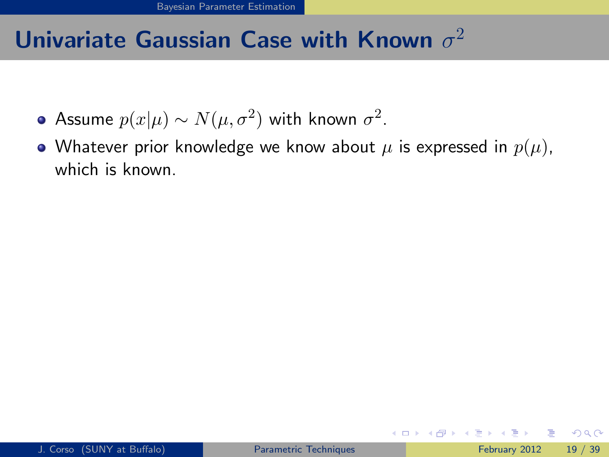- Assume  $p(x|\mu) \sim N(\mu, \sigma^2)$  with known  $\sigma^2.$
- Whatever prior knowledge we know about  $\mu$  is expressed in  $p(\mu)$ , which is known.

<span id="page-40-0"></span> $\Omega$ 

→ 何 ▶ → ヨ ▶ → ヨ

4 0 8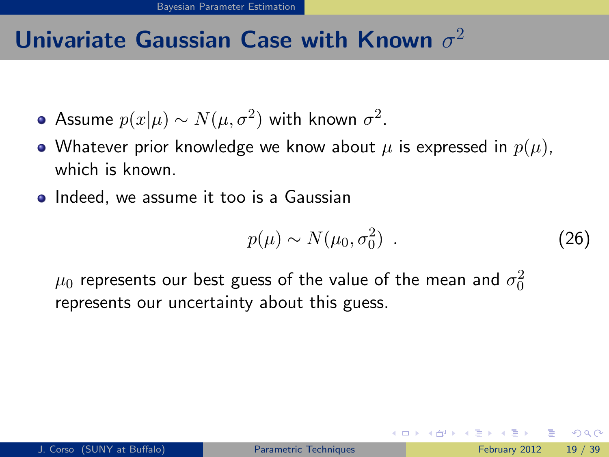- Assume  $p(x|\mu) \sim N(\mu, \sigma^2)$  with known  $\sigma^2.$
- Whatever prior knowledge we know about  $\mu$  is expressed in  $p(\mu)$ , which is known.
- **Indeed, we assume it too is a Gaussian**

$$
p(\mu) \sim N(\mu_0, \sigma_0^2) \tag{26}
$$

 $\mu_0$  represents our best guess of the value of the mean and  $\sigma_0^2$ represents our uncertainty about this guess.

<span id="page-41-0"></span> $QQQ$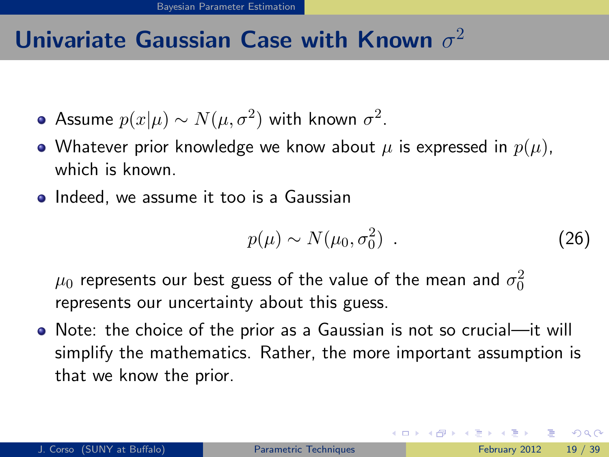- Assume  $p(x|\mu) \sim N(\mu, \sigma^2)$  with known  $\sigma^2.$
- Whatever prior knowledge we know about  $\mu$  is expressed in  $p(\mu)$ , which is known.
- **Indeed, we assume it too is a Gaussian**

$$
p(\mu) \sim N(\mu_0, \sigma_0^2) \tag{26}
$$

 $\mu_0$  represents our best guess of the value of the mean and  $\sigma_0^2$ represents our uncertainty about this guess.

Note: the choice of the prior as a Gaussian is not so crucial—it will simplify the mathematics. Rather, the more important assumption is that we know the prior.

<span id="page-42-0"></span> $\Omega$ 

イロト イ部 トメ ヨ トメ ヨト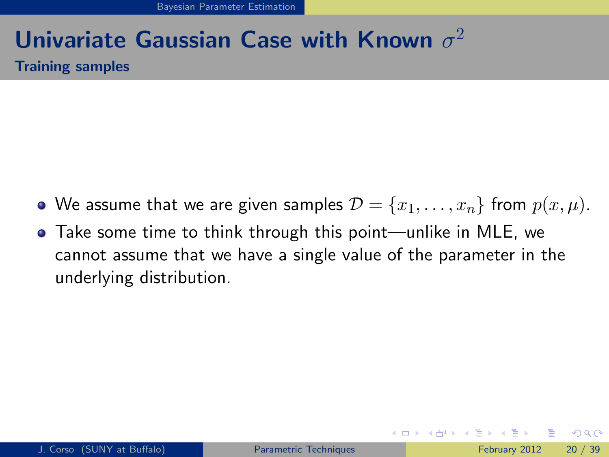### Univariate Gaussian Case with Known  $\sigma^2$ Training samples

- We assume that we are given samples  $\mathcal{D} = \{x_1, \ldots, x_n\}$  from  $p(x, \mu)$ .
- Take some time to think through this point—unlike in MLE, we cannot assume that we have a single value of the parameter in the underlying distribution.

<span id="page-43-0"></span> $QQ$ 

イロト イ母 トイヨ トイヨト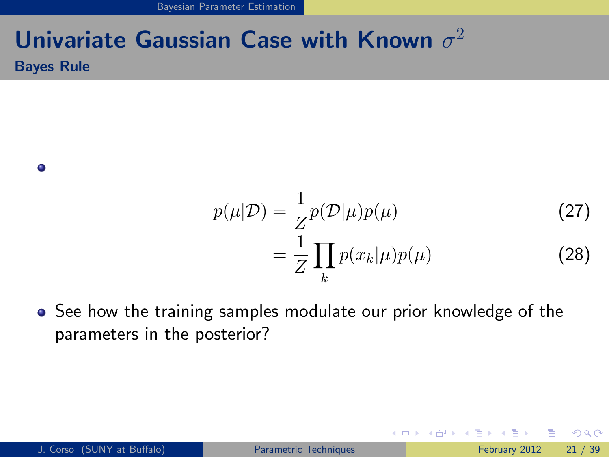[Bayesian Parameter Estimation](#page-44-0)

### Univariate Gaussian Case with Known  $\sigma^2$ Bayes Rule

 $\bullet$ 

$$
p(\mu|\mathcal{D}) = \frac{1}{Z}p(\mathcal{D}|\mu)p(\mu)
$$
\n
$$
= \frac{1}{Z} \prod_{k} p(x_k|\mu)p(\mu)
$$
\n(28)

4 0 8

<span id="page-44-0"></span>→ 何 ▶ → ヨ ▶ → ヨ

• See how the training samples modulate our prior knowledge of the parameters in the posterior?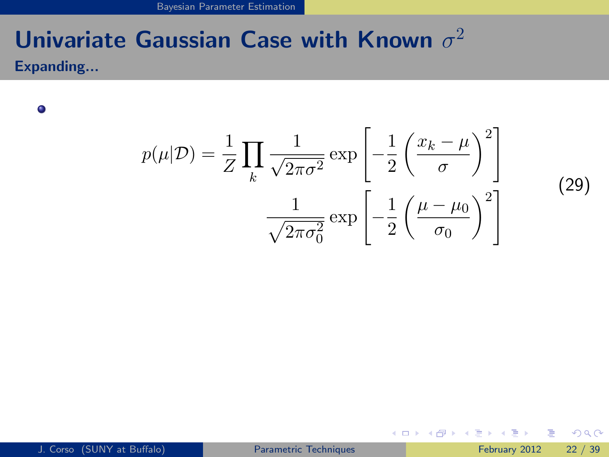[Bayesian Parameter Estimation](#page-45-0)

# Univariate Gaussian Case with Known  $\sigma^2$

Expanding...

 $\bullet$ 

$$
p(\mu|\mathcal{D}) = \frac{1}{Z} \prod_{k} \frac{1}{\sqrt{2\pi\sigma^2}} \exp\left[-\frac{1}{2} \left(\frac{x_k - \mu}{\sigma}\right)^2\right]
$$

$$
\frac{1}{\sqrt{2\pi\sigma_0^2}} \exp\left[-\frac{1}{2} \left(\frac{\mu - \mu_0}{\sigma_0}\right)^2\right]
$$

 $(29)$ 

 $\equiv$ 

<span id="page-45-0"></span> $QQ$ 

 $\left\{ \begin{array}{ccc} 1 & 0 & 0 \\ 0 & 1 & 0 \end{array} \right.$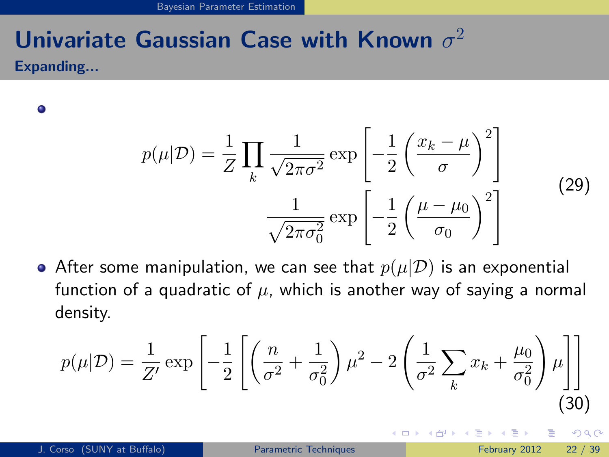Expanding...

 $\bullet$ 

$$
p(\mu|\mathcal{D}) = \frac{1}{Z} \prod_{k} \frac{1}{\sqrt{2\pi\sigma^2}} \exp\left[-\frac{1}{2} \left(\frac{x_k - \mu}{\sigma}\right)^2\right]
$$

$$
\frac{1}{\sqrt{2\pi\sigma_0^2}} \exp\left[-\frac{1}{2} \left(\frac{\mu - \mu_0}{\sigma_0}\right)^2\right]
$$
(29)

**← ロ ▶ → イ 同** 

• After some manipulation, we can see that  $p(\mu|\mathcal{D})$  is an exponential function of a quadratic of  $\mu$ , which is another way of saying a normal density.

$$
p(\mu|\mathcal{D}) = \frac{1}{Z'} \exp\left[-\frac{1}{2}\left[\left(\frac{n}{\sigma^2} + \frac{1}{\sigma_0^2}\right)\mu^2 - 2\left(\frac{1}{\sigma^2}\sum_k x_k + \frac{\mu_0}{\sigma_0^2}\right)\mu\right]\right]
$$
(30)

<span id="page-46-0"></span> $\Omega$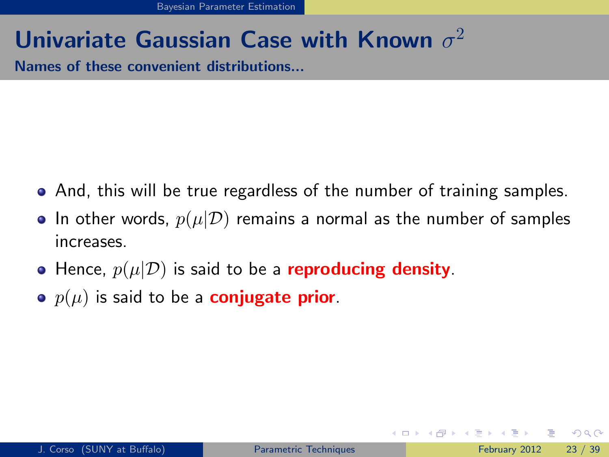Names of these convenient distributions...

- And, this will be true regardless of the number of training samples.
- In other words,  $p(\mu|\mathcal{D})$  remains a normal as the number of samples increases.
- Hence,  $p(\mu|\mathcal{D})$  is said to be a **reproducing density**.
- $p(\mu)$  is said to be a **conjugate prior**.

<span id="page-47-0"></span> $\Omega$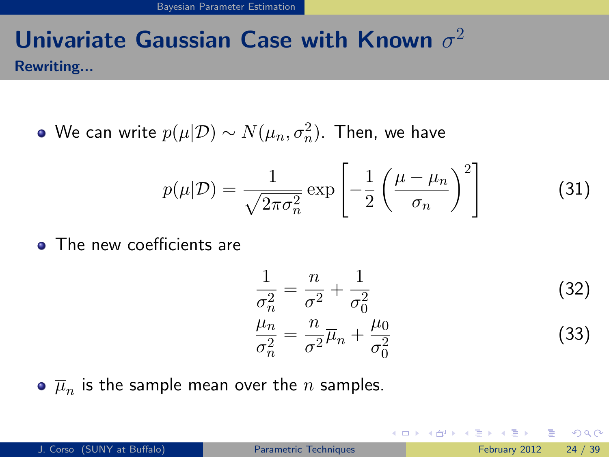### Univariate Gaussian Case with Known  $\sigma^2$ Rewriting...

We can write  $p(\mu|\mathcal{D}) \sim N(\mu_n, \sigma_n^2).$  Then, we have

$$
p(\mu|\mathcal{D}) = \frac{1}{\sqrt{2\pi\sigma_n^2}} \exp\left[-\frac{1}{2}\left(\frac{\mu-\mu_n}{\sigma_n}\right)^2\right]
$$
(31)

**• The new coefficients are** 

$$
\frac{1}{\sigma_n^2} = \frac{n}{\sigma^2} + \frac{1}{\sigma_0^2}
$$
\n
$$
\frac{\mu_n}{\sigma_n^2} = \frac{n}{\sigma^2} \overline{\mu}_n + \frac{\mu_0}{\sigma_0^2}
$$
\n(32)

<span id="page-48-0"></span>イロト イ押 トイヨト イヨ

 $\overline{\mu}_n$  is the sample mean over the  $n$  samples.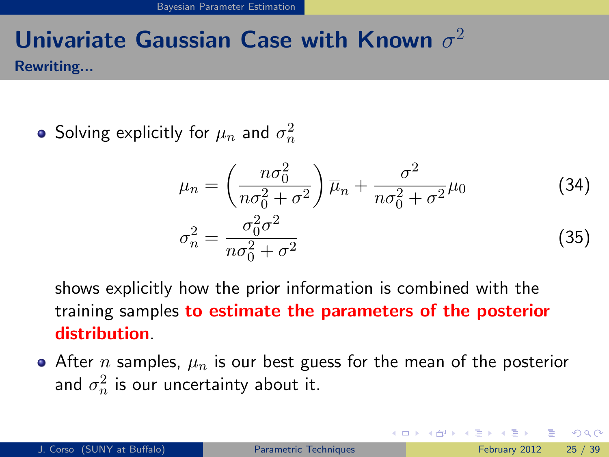### Univariate Gaussian Case with Known  $\sigma^2$ Rewriting...

Solving explicitly for  $\mu_n$  and  $\sigma_n^2$ 

$$
\mu_n = \left(\frac{n\sigma_0^2}{n\sigma_0^2 + \sigma^2}\right)\overline{\mu}_n + \frac{\sigma^2}{n\sigma_0^2 + \sigma^2}\mu_0
$$
\n
$$
\sigma_n^2 = \frac{\sigma_0^2\sigma^2}{n\sigma_0^2 + \sigma^2}
$$
\n(34)

shows explicitly how the prior information is combined with the training samples to estimate the parameters of the posterior distribution.

• After *n* samples,  $\mu_n$  is our best guess for the mean of the posterior and  $\sigma_n^2$  is our uncertainty about it.

<span id="page-49-0"></span> $QQQ$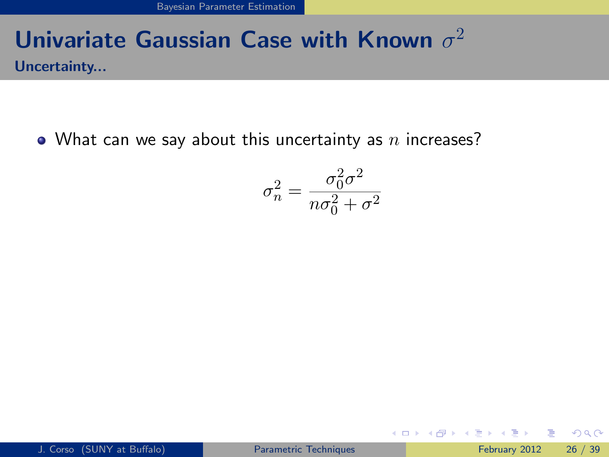### Univariate Gaussian Case with Known  $\sigma^2$ Uncertainty...

• What can we say about this uncertainty as  $n$  increases?

$$
\sigma_n^2 = \frac{\sigma_0^2 \sigma^2}{n \sigma_0^2 + \sigma^2}
$$

<span id="page-50-0"></span>画  $\Omega$ 

イロト イ母 トイヨ トイヨト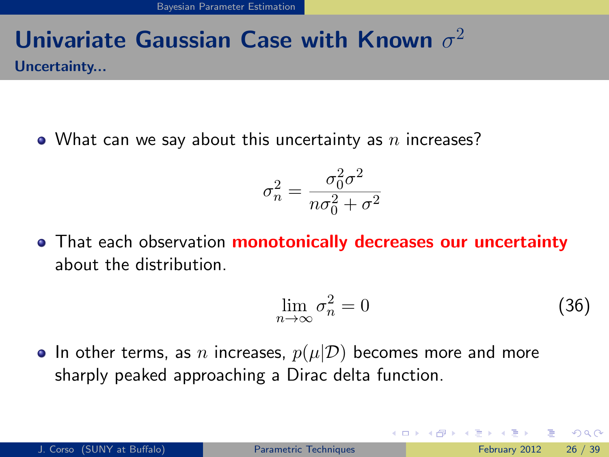### Univariate Gaussian Case with Known  $\sigma^2$ Uncertainty...

• What can we say about this uncertainty as  $n$  increases?

$$
\sigma_n^2 = \frac{\sigma_0^2 \sigma^2}{n \sigma_0^2 + \sigma^2}
$$

• That each observation **monotonically decreases our uncertainty** about the distribution.

$$
\lim_{n \to \infty} \sigma_n^2 = 0 \tag{36}
$$

• In other terms, as n increases,  $p(\mu|\mathcal{D})$  becomes more and more sharply peaked approaching a Dirac delta function.

<span id="page-51-0"></span> $QQQ$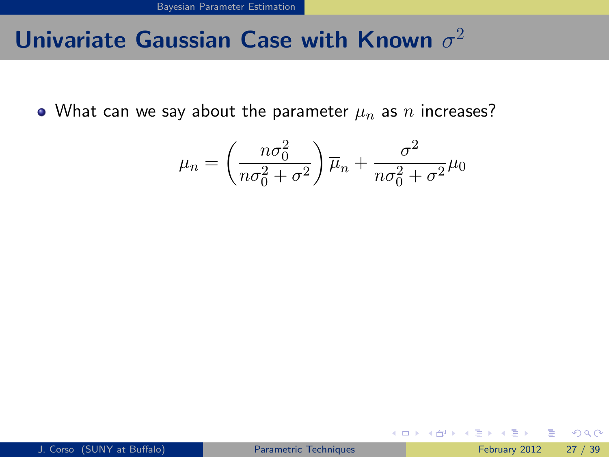• What can we say about the parameter  $\mu_n$  as n increases?

$$
\mu_n = \left(\frac{n\sigma_0^2}{n\sigma_0^2 + \sigma^2}\right)\overline{\mu}_n + \frac{\sigma^2}{n\sigma_0^2 + \sigma^2}\mu_0
$$

画

<span id="page-52-0"></span> $\Omega$ 

イロト イ押 トイヨト イヨ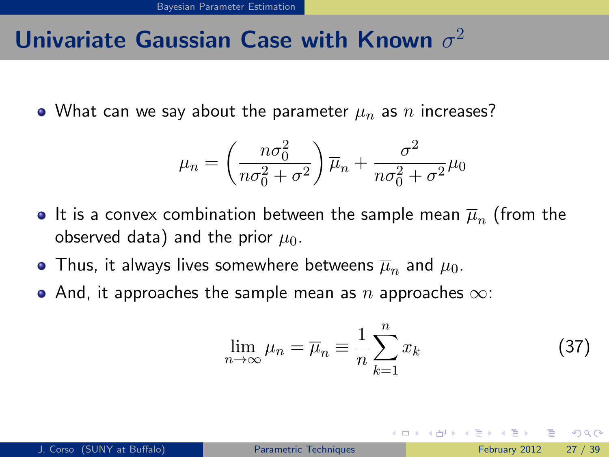• What can we say about the parameter  $\mu_n$  as n increases?

$$
\mu_n = \left(\frac{n\sigma_0^2}{n\sigma_0^2 + \sigma^2}\right)\overline{\mu}_n + \frac{\sigma^2}{n\sigma_0^2 + \sigma^2}\mu_0
$$

- It is a convex combination between the sample mean  $\overline{\mu}_n$  (from the observed data) and the prior  $\mu_0$ .
- Thus, it always lives somewhere betweens  $\overline{\mu}_n$  and  $\mu_0.$
- And, it approaches the sample mean as n approaches  $\infty$ :

$$
\lim_{n \to \infty} \mu_n = \overline{\mu}_n \equiv \frac{1}{n} \sum_{k=1}^n x_k \tag{37}
$$

<span id="page-53-0"></span>つへへ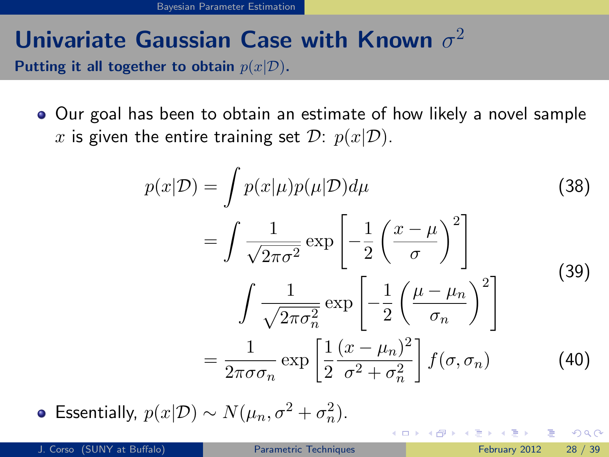### Univariate Gaussian Case with Known  $\sigma^2$ Putting it all together to obtain  $p(x|\mathcal{D})$ .

Our goal has been to obtain an estimate of how likely a novel sample x is given the entire training set  $\mathcal{D}$ :  $p(x|\mathcal{D})$ .

$$
p(x|D) = \int p(x|\mu)p(\mu|D)d\mu
$$
\n
$$
= \int \frac{1}{\sqrt{2\pi\sigma^2}} \exp\left[-\frac{1}{2}\left(\frac{x-\mu}{\sigma}\right)^2\right]
$$
\n
$$
\int \frac{1}{\sqrt{2\pi\sigma_n^2}} \exp\left[-\frac{1}{2}\left(\frac{\mu-\mu_n}{\sigma_n}\right)^2\right]
$$
\n
$$
= \frac{1}{2\pi\sigma\sigma_n} \exp\left[\frac{1}{2}\frac{(x-\mu_n)^2}{\sigma^2+\sigma_n^2}\right] f(\sigma,\sigma_n)
$$
\n(40)

Essentially,  $p(x|\mathcal{D}) \sim N(\mu_n, \sigma^2 + \sigma_n^2)$ .

<span id="page-54-0"></span> $200$ 

**K ロ ト K 何 ト K ヨ ト K**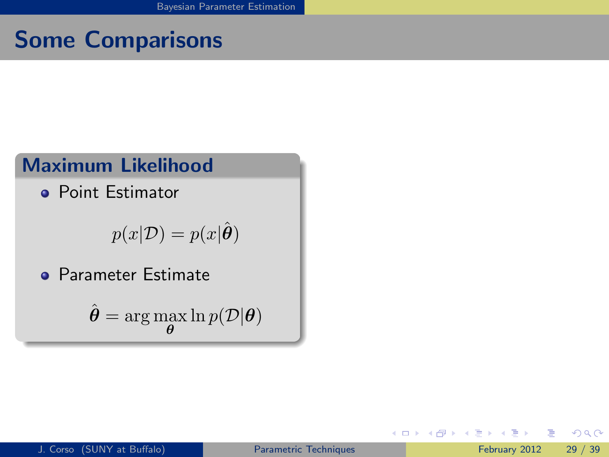### Maximum Likelihood

**Point Estimator** 

$$
p(x|\mathcal{D}) = p(x|\hat{\boldsymbol{\theta}})
$$

**• Parameter Estimate** 

$$
\hat{\boldsymbol{\theta}} = \arg\max_{\boldsymbol{\theta}} \ln p(\mathcal{D}|\boldsymbol{\theta})
$$

4 0 8

- 6

目

<span id="page-55-0"></span> $QQ$ 

医阿里氏阿里氏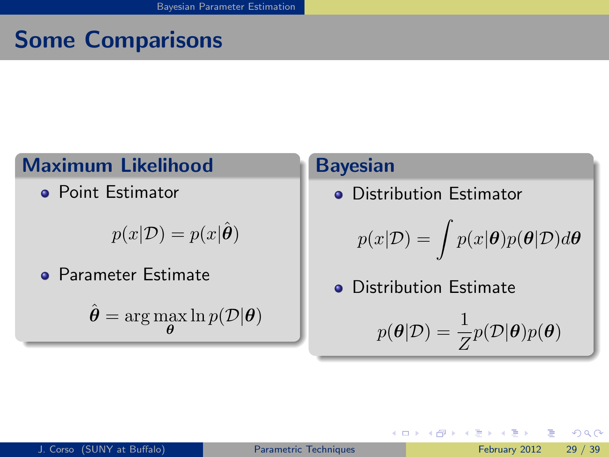### Maximum Likelihood

**Point Estimator** 

$$
p(x|\mathcal{D}) = p(x|\hat{\boldsymbol{\theta}})
$$

**• Parameter Estimate** 

 $\hat{\boldsymbol{\theta}} = \arg\max_{\boldsymbol{\theta}} \ln p(\mathcal{D}|\boldsymbol{\theta})$ 

#### Bayesian

**o** Distribution Estimator

$$
p(x|\mathcal{D}) = \int p(x|\pmb{\theta})p(\pmb{\theta}|\mathcal{D})d\pmb{\theta}
$$

**• Distribution Estimate** 

4 日下

$$
p(\pmb{\theta}|\mathcal{D}) = \frac{1}{Z} p(\mathcal{D}|\pmb{\theta}) p(\pmb{\theta})
$$

 $\triangleright$  a E  $\triangleright$  a E  $\triangleright$ 

<span id="page-56-0"></span>目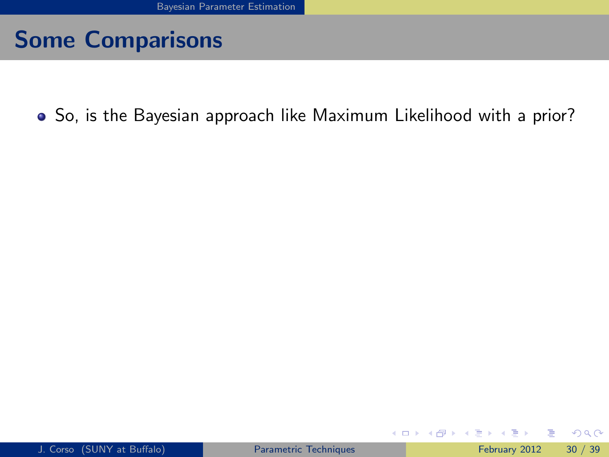So, is the Bayesian approach like Maximum Likelihood with a prior?

 $\sim$  40

目

<span id="page-57-0"></span> $QQ$ 

**K ロ ▶ | K 伺 ▶ | K ヨ ▶**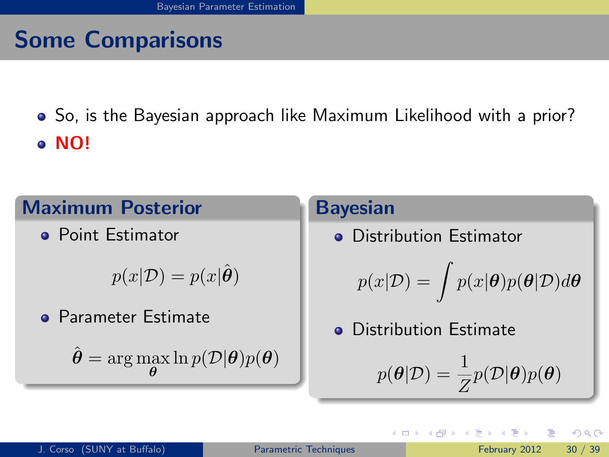So, is the Bayesian approach like Maximum Likelihood with a prior? NO!

#### Maximum Posterior

**• Point Estimator** 

 $p(x|\mathcal{D}) = p(x|\hat{\theta})$ 

**Parameter Estimate** 

 $\hat{\boldsymbol{\theta}} = \arg \max \ln p(\mathcal{D}|\boldsymbol{\theta})p(\boldsymbol{\theta})$ θ

#### Bayesian

**o** Distribution Estimator

$$
p(x|\mathcal{D}) = \int p(x|\theta)p(\theta|\mathcal{D})d\theta
$$

**o** Distribution Estimate

$$
p(\theta|\mathcal{D}) = \frac{1}{Z}p(\mathcal{D}|\theta)p(\theta)
$$

<span id="page-58-0"></span> $200$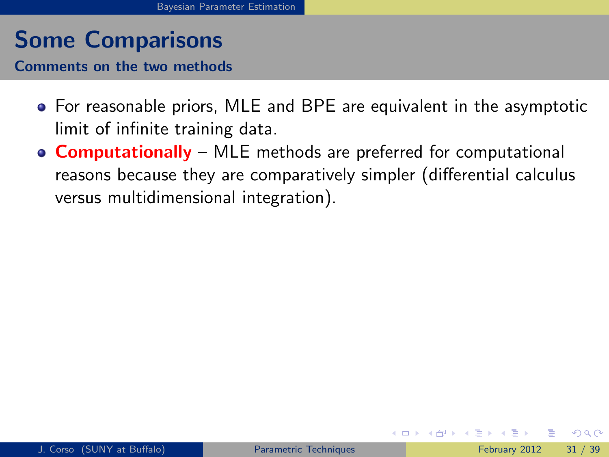Comments on the two methods

- For reasonable priors, MLE and BPE are equivalent in the asymptotic limit of infinite training data.
- <span id="page-59-0"></span>• **Computationally** – MLE methods are preferred for computational reasons because they are comparatively simpler (differential calculus versus multidimensional integration).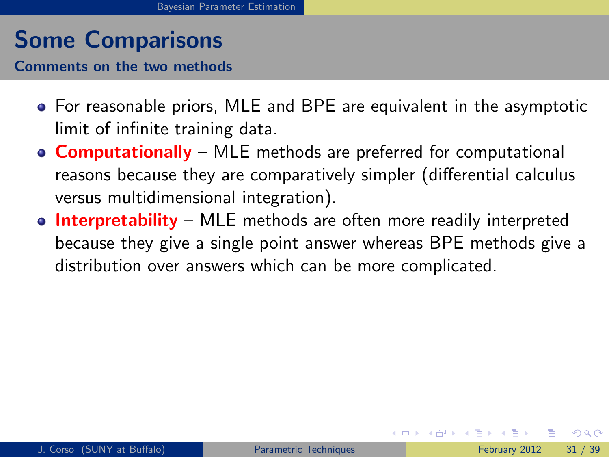Comments on the two methods

- For reasonable priors, MLE and BPE are equivalent in the asymptotic limit of infinite training data.
- **Computationally** MLE methods are preferred for computational reasons because they are comparatively simpler (differential calculus versus multidimensional integration).
- <span id="page-60-0"></span>• Interpretability – MLE methods are often more readily interpreted because they give a single point answer whereas BPE methods give a distribution over answers which can be more complicated.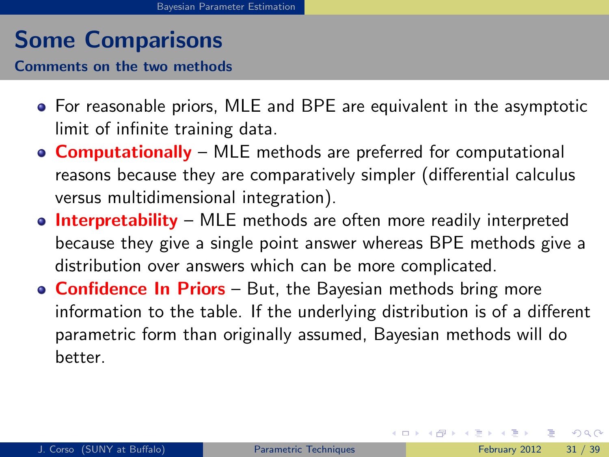Comments on the two methods

- For reasonable priors, MLE and BPE are equivalent in the asymptotic limit of infinite training data.
- **Computationally** MLE methods are preferred for computational reasons because they are comparatively simpler (differential calculus versus multidimensional integration).
- Interpretability MLE methods are often more readily interpreted because they give a single point answer whereas BPE methods give a distribution over answers which can be more complicated.
- **Confidence In Priors** But, the Bayesian methods bring more information to the table. If the underlying distribution is of a different parametric form than originally assumed, Bayesian methods will do better.

<span id="page-61-0"></span> $QQ$ 

イロト イ部 トメ ヨ トメ ヨト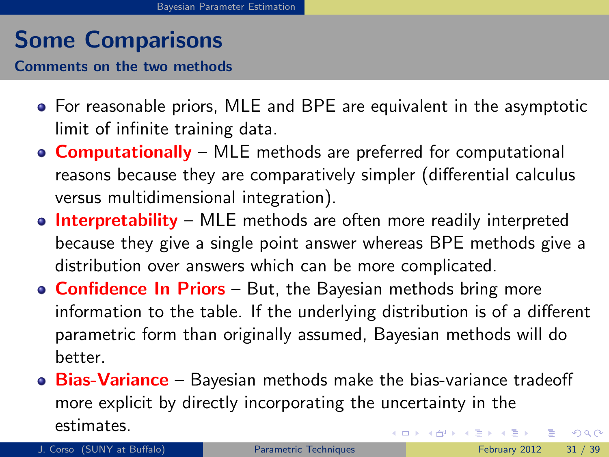Comments on the two methods

- For reasonable priors, MLE and BPE are equivalent in the asymptotic limit of infinite training data.
- **Computationally** MLE methods are preferred for computational reasons because they are comparatively simpler (differential calculus versus multidimensional integration).
- Interpretability MLE methods are often more readily interpreted because they give a single point answer whereas BPE methods give a distribution over answers which can be more complicated.
- **Confidence In Priors** But, the Bayesian methods bring more information to the table. If the underlying distribution is of a different parametric form than originally assumed, Bayesian methods will do better.
- Bias-Variance Bayesian methods make the bias-variance tradeoff more explicit by directly incorporating the uncertainty in the estimates. イロト イ押ト イヨト イヨト  $QQ$

<span id="page-62-0"></span>J. Corso (SUNY at Buffalo) [Parametric Techniques](#page-0-0) February 2012 31 / 39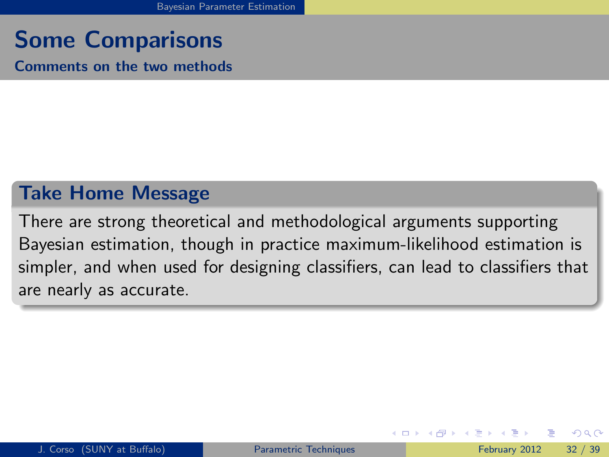Comments on the two methods

#### Take Home Message

<span id="page-63-0"></span>There are strong theoretical and methodological arguments supporting Bayesian estimation, though in practice maximum-likelihood estimation is simpler, and when used for designing classifiers, can lead to classifiers that are nearly as accurate.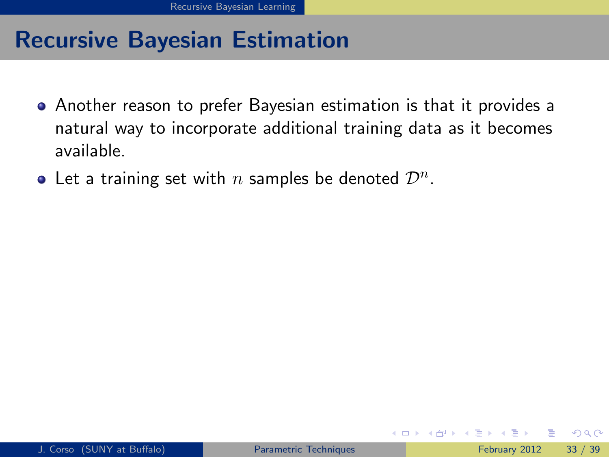- Another reason to prefer Bayesian estimation is that it provides a natural way to incorporate additional training data as it becomes available.
- <span id="page-64-0"></span>Let a training set with  $n$  samples be denoted  $\mathcal{D}^n$ .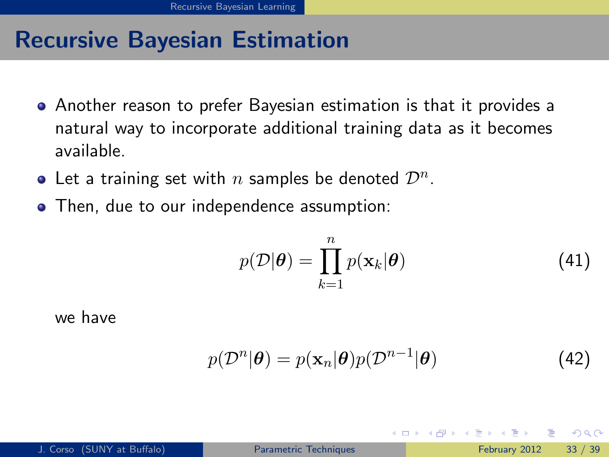- Another reason to prefer Bayesian estimation is that it provides a natural way to incorporate additional training data as it becomes available.
- Let a training set with  $n$  samples be denoted  $\mathcal{D}^n$ .
- Then, due to our independence assumption:

$$
p(\mathcal{D}|\boldsymbol{\theta}) = \prod_{k=1}^{n} p(\mathbf{x}_k|\boldsymbol{\theta})
$$
 (41)

we have

<span id="page-65-0"></span>
$$
p(\mathcal{D}^{n}|\boldsymbol{\theta}) = p(\mathbf{x}_{n}|\boldsymbol{\theta})p(\mathcal{D}^{n-1}|\boldsymbol{\theta})
$$
\n(42)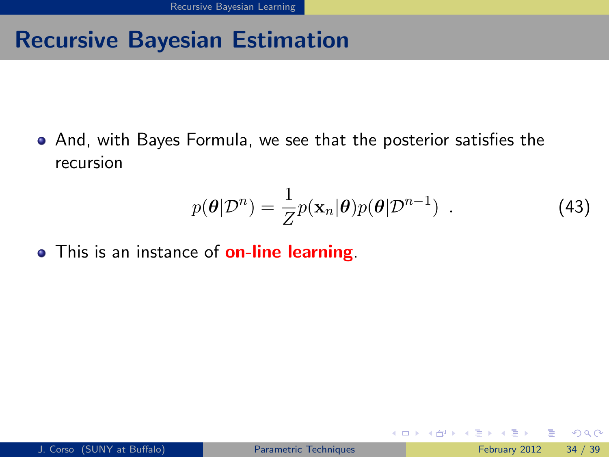And, with Bayes Formula, we see that the posterior satisfies the recursion

$$
p(\boldsymbol{\theta}|\mathcal{D}^n) = \frac{1}{Z}p(\mathbf{x}_n|\boldsymbol{\theta})p(\boldsymbol{\theta}|\mathcal{D}^{n-1})
$$
 (43)

<span id="page-66-0"></span>4 日下

• This is an instance of **on-line learning**.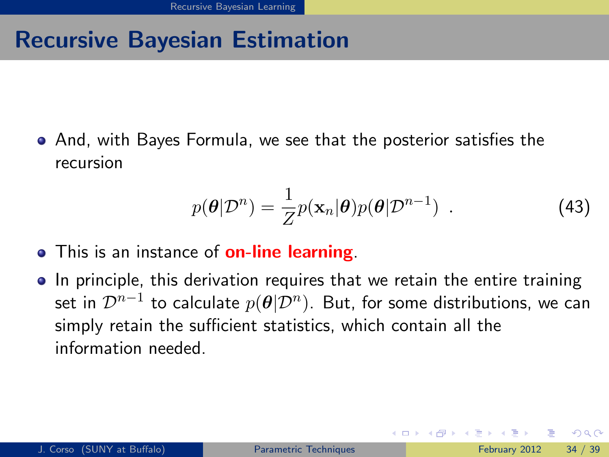And, with Bayes Formula, we see that the posterior satisfies the recursion

$$
p(\boldsymbol{\theta}|\mathcal{D}^n) = \frac{1}{Z}p(\mathbf{x}_n|\boldsymbol{\theta})p(\boldsymbol{\theta}|\mathcal{D}^{n-1})
$$
 (43)

- This is an instance of **on-line learning**.
- In principle, this derivation requires that we retain the entire training set in  $\mathcal{D}^{n-1}$  to calculate  $p(\bm{\theta}|\mathcal{D}^n)$ . But, for some distributions, we can simply retain the sufficient statistics, which contain all the information needed.

<span id="page-67-0"></span> $\Omega$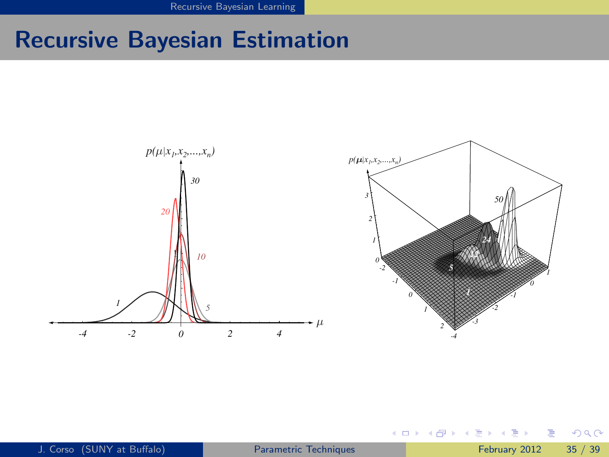[Recursive Bayesian Learning](#page-68-0)

# Recursive Bayesian Estimation



4 0 8

 $\sim$ 

E

一本 語

医尿管下

<span id="page-68-0"></span> $299$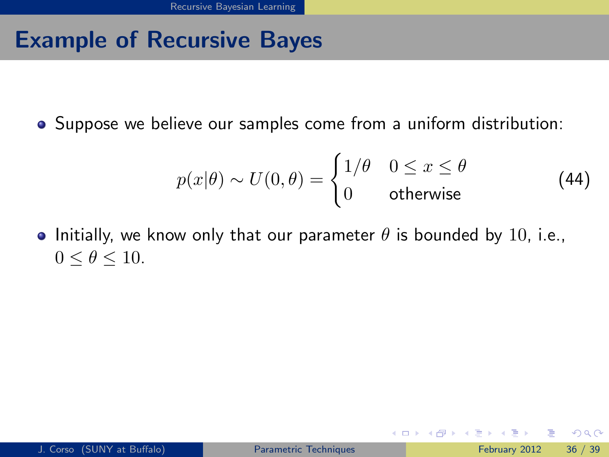## Example of Recursive Bayes

Suppose we believe our samples come from a uniform distribution:

$$
p(x|\theta) \sim U(0,\theta) = \begin{cases} 1/\theta & 0 \le x \le \theta \\ 0 & \text{otherwise} \end{cases}
$$
 (44)

• Initially, we know only that our parameter  $\theta$  is bounded by 10, i.e.,  $0 \le \theta \le 10$ .

<span id="page-69-0"></span> $QQ$ 

イロト イ押 トイヨト イヨ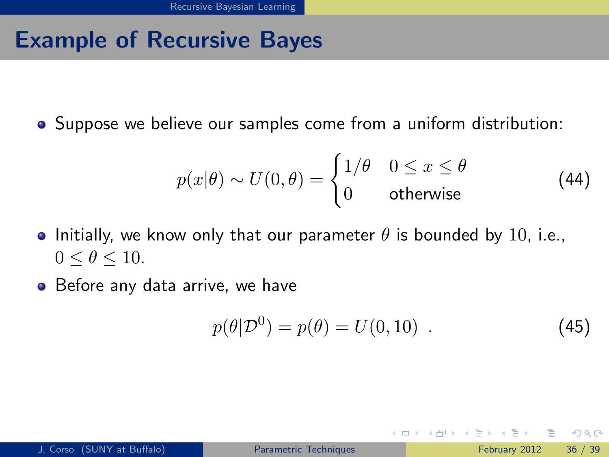# Example of Recursive Bayes

Suppose we believe our samples come from a uniform distribution:

$$
p(x|\theta) \sim U(0,\theta) = \begin{cases} 1/\theta & 0 \le x \le \theta \\ 0 & \text{otherwise} \end{cases}
$$
 (44)

- Initially, we know only that our parameter  $\theta$  is bounded by 10, i.e.,  $0 \le \theta \le 10$ .
- Before any data arrive, we have

$$
p(\theta|\mathcal{D}^0) = p(\theta) = U(0, 10) . \tag{45}
$$

4 0 8

<span id="page-70-0"></span> $200$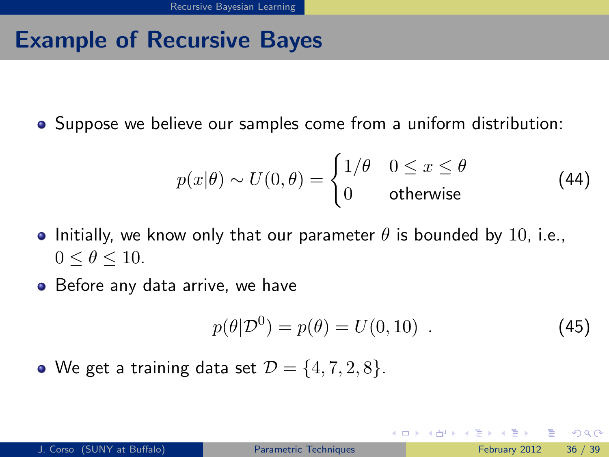# Example of Recursive Bayes

Suppose we believe our samples come from a uniform distribution:

$$
p(x|\theta) \sim U(0,\theta) = \begin{cases} 1/\theta & 0 \le x \le \theta \\ 0 & \text{otherwise} \end{cases}
$$
 (44)

- Initially, we know only that our parameter  $\theta$  is bounded by 10, i.e.,  $0 \le \theta \le 10$ .
- Before any data arrive, we have

$$
p(\theta|\mathcal{D}^0) = p(\theta) = U(0, 10) . \tag{45}
$$

イロト イ押 トイヨト イヨ

• We get a training data set  $\mathcal{D} = \{4, 7, 2, 8\}.$ 

<span id="page-71-0"></span> $QQQ$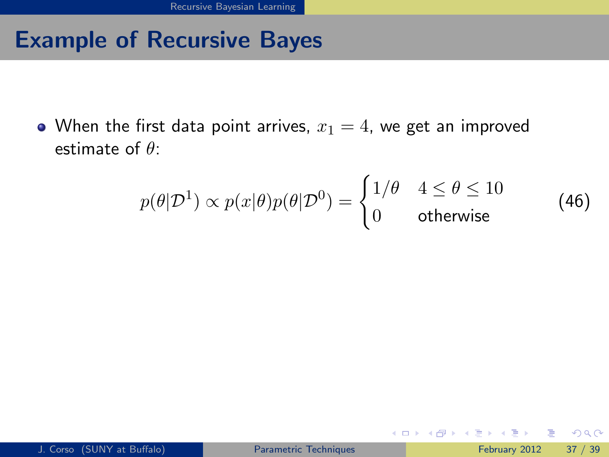• When the first data point arrives,  $x_1 = 4$ , we get an improved estimate of  $\theta$ :

$$
p(\theta|\mathcal{D}^1) \propto p(x|\theta)p(\theta|\mathcal{D}^0) = \begin{cases} 1/\theta & 4 \le \theta \le 10 \\ 0 & \text{otherwise} \end{cases} \tag{46}
$$

<span id="page-72-0"></span> $QQQ$ 

イロト イ押 トイヨト イヨ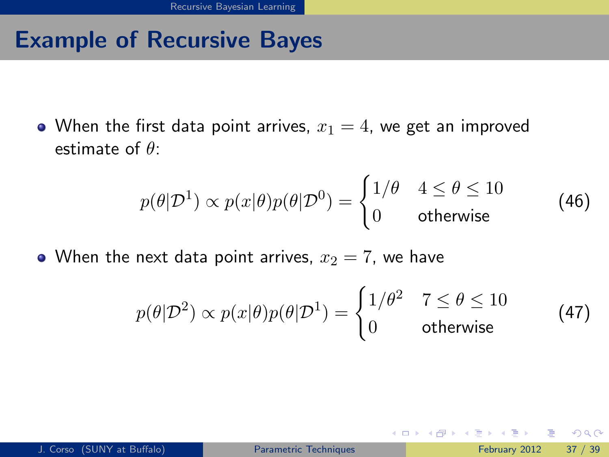• When the first data point arrives,  $x_1 = 4$ , we get an improved estimate of  $\theta$ :

$$
p(\theta|\mathcal{D}^1) \propto p(x|\theta)p(\theta|\mathcal{D}^0) = \begin{cases} 1/\theta & 4 \le \theta \le 10 \\ 0 & \text{otherwise} \end{cases} \tag{46}
$$

• When the next data point arrives,  $x_2 = 7$ , we have

$$
p(\theta|\mathcal{D}^2) \propto p(x|\theta)p(\theta|\mathcal{D}^1) = \begin{cases} 1/\theta^2 & 7 \le \theta \le 10 \\ 0 & \text{otherwise} \end{cases}
$$
 (47)

4 0 8

<span id="page-73-0"></span> $QQ$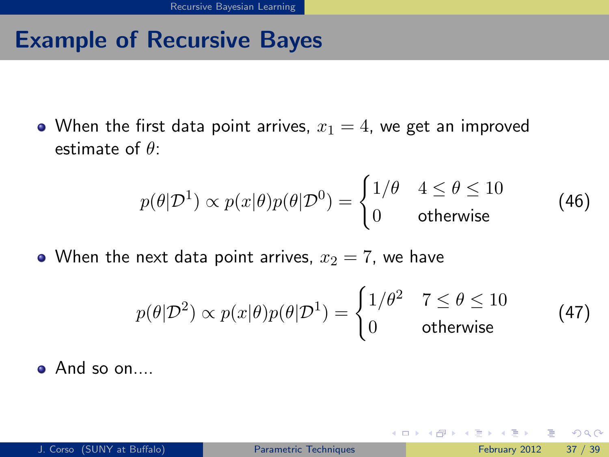• When the first data point arrives,  $x_1 = 4$ , we get an improved estimate of  $\theta$ :

$$
p(\theta|\mathcal{D}^1) \propto p(x|\theta)p(\theta|\mathcal{D}^0) = \begin{cases} 1/\theta & 4 \le \theta \le 10 \\ 0 & \text{otherwise} \end{cases} \tag{46}
$$

• When the next data point arrives,  $x_2 = 7$ , we have

$$
p(\theta|\mathcal{D}^2) \propto p(x|\theta)p(\theta|\mathcal{D}^1) = \begin{cases} 1/\theta^2 & 7 \le \theta \le 10 \\ 0 & \text{otherwise} \end{cases}
$$
 (47)

4 0 8

And so on....

<span id="page-74-0"></span> $\Omega$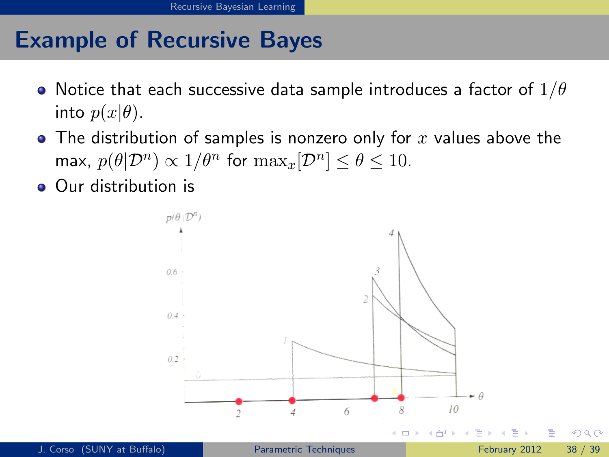- Notice that each successive data sample introduces a factor of  $1/\theta$ into  $p(x|\theta)$ .
- $\bullet$  The distribution of samples is nonzero only for x values above the max,  $p(\theta|\mathcal{D}^n) \propto 1/\theta^n$  for  $\max_x[\mathcal{D}^n] \le \theta \le 10$ .
- Our distribution is

<span id="page-75-0"></span>